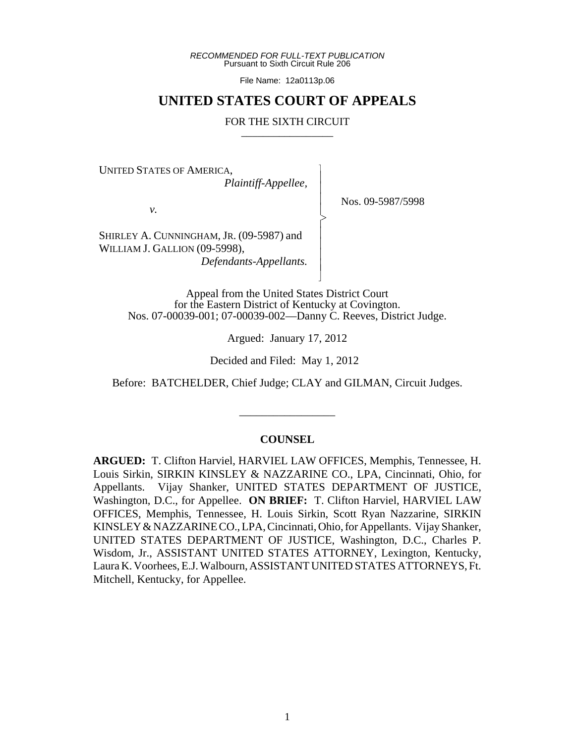*RECOMMENDED FOR FULL-TEXT PUBLICATION* Pursuant to Sixth Circuit Rule 206

File Name: 12a0113p.06

# **UNITED STATES COURT OF APPEALS**

#### FOR THE SIXTH CIRCUIT

 $\overline{\phantom{a}}$ - - - > , - - - - N

UNITED STATES OF AMERICA,

 *Plaintiff-Appellee,*

*v.*

Nos. 09-5987/5998

SHIRLEY A. CUNNINGHAM, JR. (09-5987) and WILLIAM J. GALLION (09-5998),

 *Defendants-Appellants.*

Appeal from the United States District Court for the Eastern District of Kentucky at Covington. Nos. 07-00039-001; 07-00039-002—Danny C. Reeves, District Judge.

Argued: January 17, 2012

Decided and Filed: May 1, 2012

Before: BATCHELDER, Chief Judge; CLAY and GILMAN, Circuit Judges.

\_\_\_\_\_\_\_\_\_\_\_\_\_\_\_\_\_

### **COUNSEL**

**ARGUED:** T. Clifton Harviel, HARVIEL LAW OFFICES, Memphis, Tennessee, H. Louis Sirkin, SIRKIN KINSLEY & NAZZARINE CO., LPA, Cincinnati, Ohio, for Appellants. Vijay Shanker, UNITED STATES DEPARTMENT OF JUSTICE, Washington, D.C., for Appellee. **ON BRIEF:** T. Clifton Harviel, HARVIEL LAW OFFICES, Memphis, Tennessee, H. Louis Sirkin, Scott Ryan Nazzarine, SIRKIN KINSLEY & NAZZARINE CO., LPA, Cincinnati, Ohio, for Appellants. Vijay Shanker, UNITED STATES DEPARTMENT OF JUSTICE, Washington, D.C., Charles P. Wisdom, Jr., ASSISTANT UNITED STATES ATTORNEY, Lexington, Kentucky, Laura K. Voorhees, E.J. Walbourn, ASSISTANT UNITED STATES ATTORNEYS, Ft. Mitchell, Kentucky, for Appellee.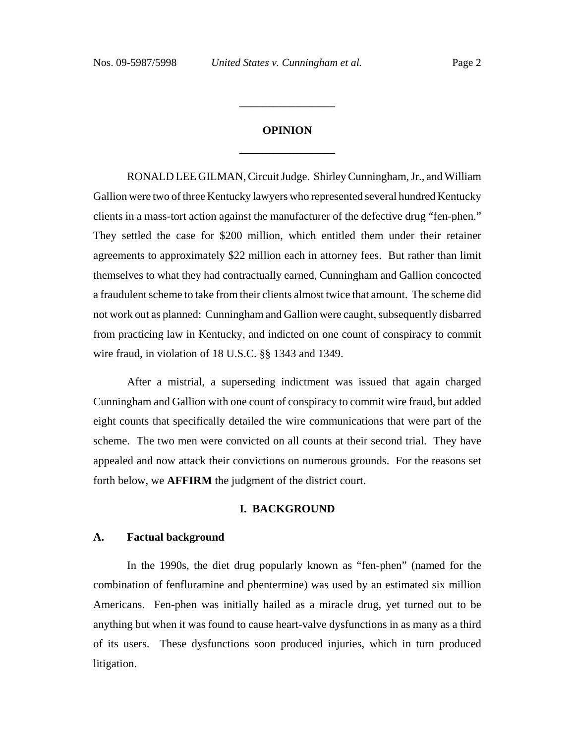# **OPINION \_\_\_\_\_\_\_\_\_\_\_\_\_\_\_\_\_**

**\_\_\_\_\_\_\_\_\_\_\_\_\_\_\_\_\_**

RONALD LEE GILMAN, Circuit Judge. Shirley Cunningham, Jr., and William Gallion were two of three Kentucky lawyers who represented several hundred Kentucky clients in a mass-tort action against the manufacturer of the defective drug "fen-phen." They settled the case for \$200 million, which entitled them under their retainer agreements to approximately \$22 million each in attorney fees. But rather than limit themselves to what they had contractually earned, Cunningham and Gallion concocted a fraudulent scheme to take from their clients almost twice that amount. The scheme did not work out as planned: Cunningham and Gallion were caught, subsequently disbarred from practicing law in Kentucky, and indicted on one count of conspiracy to commit wire fraud, in violation of 18 U.S.C. §§ 1343 and 1349.

After a mistrial, a superseding indictment was issued that again charged Cunningham and Gallion with one count of conspiracy to commit wire fraud, but added eight counts that specifically detailed the wire communications that were part of the scheme. The two men were convicted on all counts at their second trial. They have appealed and now attack their convictions on numerous grounds. For the reasons set forth below, we **AFFIRM** the judgment of the district court.

### **I. BACKGROUND**

### **A. Factual background**

In the 1990s, the diet drug popularly known as "fen-phen" (named for the combination of fenfluramine and phentermine) was used by an estimated six million Americans. Fen-phen was initially hailed as a miracle drug, yet turned out to be anything but when it was found to cause heart-valve dysfunctions in as many as a third of its users. These dysfunctions soon produced injuries, which in turn produced litigation.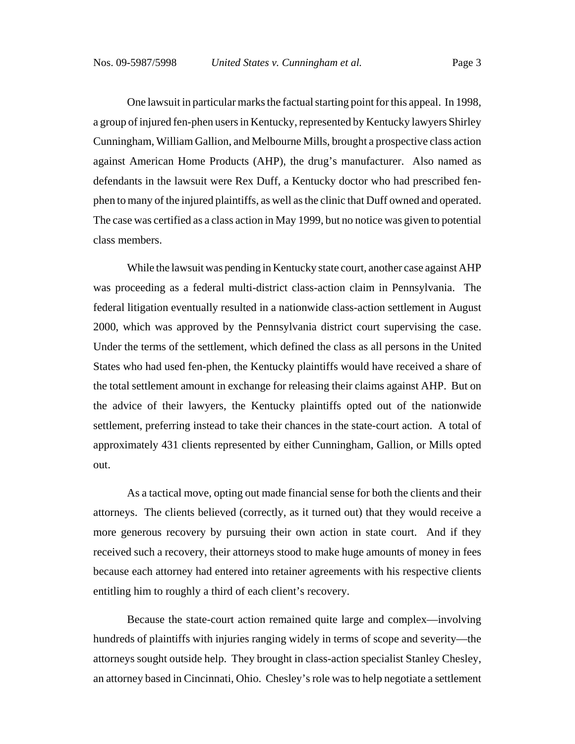One lawsuit in particular marks the factual starting point for this appeal. In 1998, a group of injured fen-phen users in Kentucky, represented by Kentucky lawyers Shirley Cunningham, William Gallion, and Melbourne Mills, brought a prospective class action against American Home Products (AHP), the drug's manufacturer. Also named as defendants in the lawsuit were Rex Duff, a Kentucky doctor who had prescribed fenphen to many of the injured plaintiffs, as well as the clinic that Duff owned and operated. The case was certified as a class action in May 1999, but no notice was given to potential class members.

While the lawsuit was pending in Kentucky state court, another case against AHP was proceeding as a federal multi-district class-action claim in Pennsylvania. The federal litigation eventually resulted in a nationwide class-action settlement in August 2000, which was approved by the Pennsylvania district court supervising the case. Under the terms of the settlement, which defined the class as all persons in the United States who had used fen-phen, the Kentucky plaintiffs would have received a share of the total settlement amount in exchange for releasing their claims against AHP. But on the advice of their lawyers, the Kentucky plaintiffs opted out of the nationwide settlement, preferring instead to take their chances in the state-court action. A total of approximately 431 clients represented by either Cunningham, Gallion, or Mills opted out.

As a tactical move, opting out made financial sense for both the clients and their attorneys. The clients believed (correctly, as it turned out) that they would receive a more generous recovery by pursuing their own action in state court. And if they received such a recovery, their attorneys stood to make huge amounts of money in fees because each attorney had entered into retainer agreements with his respective clients entitling him to roughly a third of each client's recovery.

Because the state-court action remained quite large and complex—involving hundreds of plaintiffs with injuries ranging widely in terms of scope and severity—the attorneys sought outside help. They brought in class-action specialist Stanley Chesley, an attorney based in Cincinnati, Ohio. Chesley's role was to help negotiate a settlement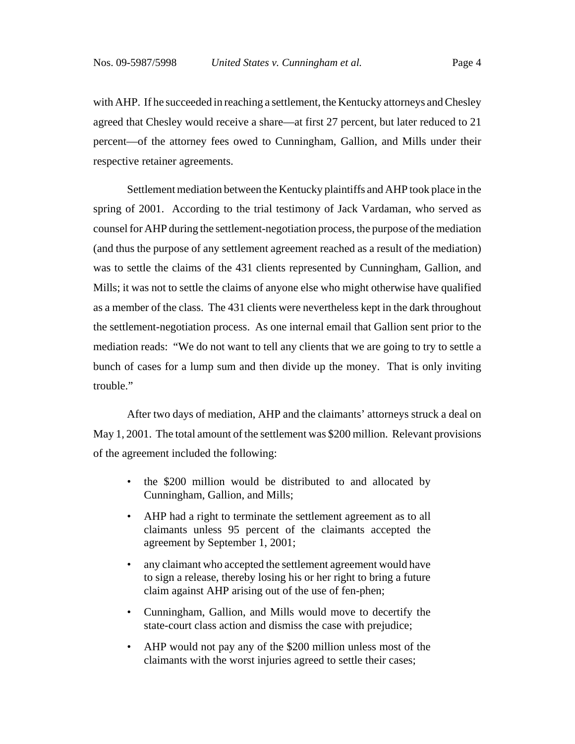with AHP. If he succeeded in reaching a settlement, the Kentucky attorneys and Chesley agreed that Chesley would receive a share—at first 27 percent, but later reduced to 21 percent—of the attorney fees owed to Cunningham, Gallion, and Mills under their respective retainer agreements.

Settlement mediation between the Kentucky plaintiffs and AHP took place in the spring of 2001. According to the trial testimony of Jack Vardaman, who served as counsel for AHP during the settlement-negotiation process, the purpose of the mediation (and thus the purpose of any settlement agreement reached as a result of the mediation) was to settle the claims of the 431 clients represented by Cunningham, Gallion, and Mills; it was not to settle the claims of anyone else who might otherwise have qualified as a member of the class. The 431 clients were nevertheless kept in the dark throughout the settlement-negotiation process. As one internal email that Gallion sent prior to the mediation reads: "We do not want to tell any clients that we are going to try to settle a bunch of cases for a lump sum and then divide up the money. That is only inviting trouble."

After two days of mediation, AHP and the claimants' attorneys struck a deal on May 1, 2001. The total amount of the settlement was \$200 million. Relevant provisions of the agreement included the following:

- the \$200 million would be distributed to and allocated by Cunningham, Gallion, and Mills;
- AHP had a right to terminate the settlement agreement as to all claimants unless 95 percent of the claimants accepted the agreement by September 1, 2001;
- any claimant who accepted the settlement agreement would have to sign a release, thereby losing his or her right to bring a future claim against AHP arising out of the use of fen-phen;
- Cunningham, Gallion, and Mills would move to decertify the state-court class action and dismiss the case with prejudice;
- AHP would not pay any of the \$200 million unless most of the claimants with the worst injuries agreed to settle their cases;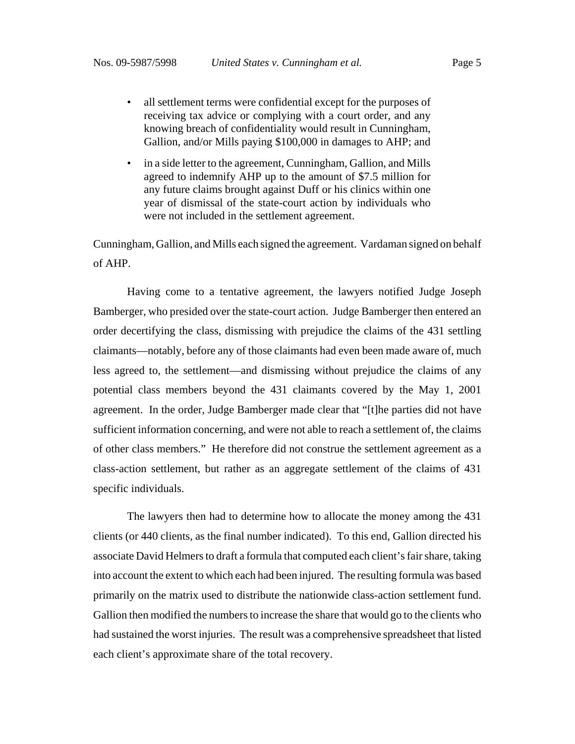- all settlement terms were confidential except for the purposes of receiving tax advice or complying with a court order, and any knowing breach of confidentiality would result in Cunningham, Gallion, and/or Mills paying \$100,000 in damages to AHP; and
- in a side letter to the agreement, Cunningham, Gallion, and Mills agreed to indemnify AHP up to the amount of \$7.5 million for any future claims brought against Duff or his clinics within one year of dismissal of the state-court action by individuals who were not included in the settlement agreement.

Cunningham, Gallion, and Mills each signed the agreement. Vardaman signed on behalf of AHP.

Having come to a tentative agreement, the lawyers notified Judge Joseph Bamberger, who presided over the state-court action. Judge Bamberger then entered an order decertifying the class, dismissing with prejudice the claims of the 431 settling claimants—notably, before any of those claimants had even been made aware of, much less agreed to, the settlement—and dismissing without prejudice the claims of any potential class members beyond the 431 claimants covered by the May 1, 2001 agreement. In the order, Judge Bamberger made clear that "[t]he parties did not have sufficient information concerning, and were not able to reach a settlement of, the claims of other class members." He therefore did not construe the settlement agreement as a class-action settlement, but rather as an aggregate settlement of the claims of 431 specific individuals.

The lawyers then had to determine how to allocate the money among the 431 clients (or 440 clients, as the final number indicated). To this end, Gallion directed his associate David Helmers to draft a formula that computed each client's fair share, taking into account the extent to which each had been injured. The resulting formula was based primarily on the matrix used to distribute the nationwide class-action settlement fund. Gallion then modified the numbers to increase the share that would go to the clients who had sustained the worst injuries. The result was a comprehensive spreadsheet that listed each client's approximate share of the total recovery.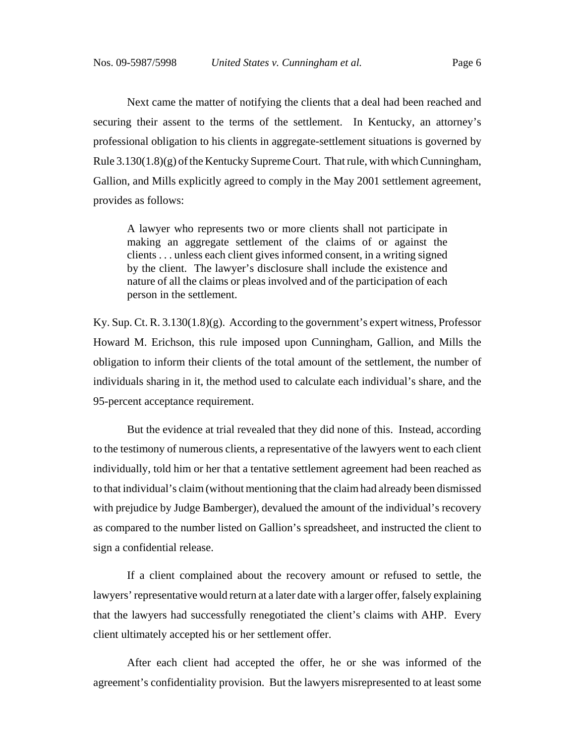Next came the matter of notifying the clients that a deal had been reached and securing their assent to the terms of the settlement. In Kentucky, an attorney's professional obligation to his clients in aggregate-settlement situations is governed by Rule  $3.130(1.8)(g)$  of the Kentucky Supreme Court. That rule, with which Cunningham, Gallion, and Mills explicitly agreed to comply in the May 2001 settlement agreement, provides as follows:

A lawyer who represents two or more clients shall not participate in making an aggregate settlement of the claims of or against the clients . . . unless each client gives informed consent, in a writing signed by the client. The lawyer's disclosure shall include the existence and nature of all the claims or pleas involved and of the participation of each person in the settlement.

Ky. Sup. Ct. R.  $3.130(1.8)(g)$ . According to the government's expert witness, Professor Howard M. Erichson, this rule imposed upon Cunningham, Gallion, and Mills the obligation to inform their clients of the total amount of the settlement, the number of individuals sharing in it, the method used to calculate each individual's share, and the 95-percent acceptance requirement.

But the evidence at trial revealed that they did none of this. Instead, according to the testimony of numerous clients, a representative of the lawyers went to each client individually, told him or her that a tentative settlement agreement had been reached as to that individual's claim (without mentioning that the claim had already been dismissed with prejudice by Judge Bamberger), devalued the amount of the individual's recovery as compared to the number listed on Gallion's spreadsheet, and instructed the client to sign a confidential release.

If a client complained about the recovery amount or refused to settle, the lawyers' representative would return at a later date with a larger offer, falsely explaining that the lawyers had successfully renegotiated the client's claims with AHP. Every client ultimately accepted his or her settlement offer.

After each client had accepted the offer, he or she was informed of the agreement's confidentiality provision. But the lawyers misrepresented to at least some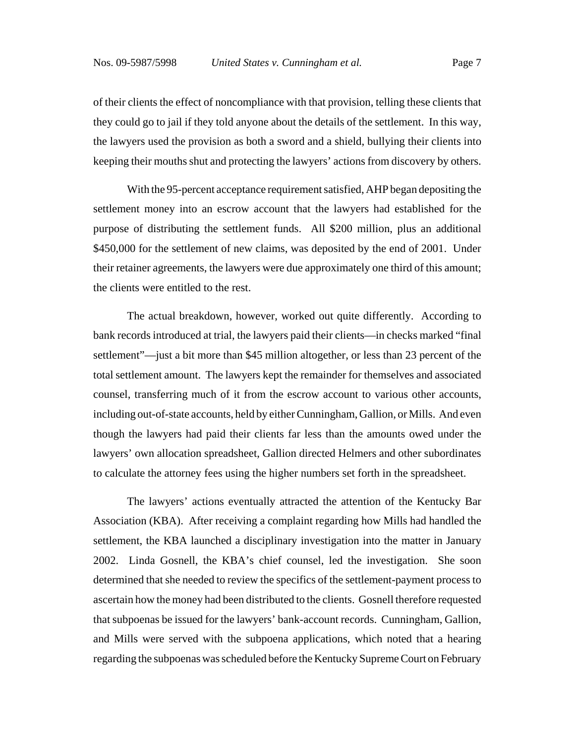of their clients the effect of noncompliance with that provision, telling these clients that they could go to jail if they told anyone about the details of the settlement. In this way, the lawyers used the provision as both a sword and a shield, bullying their clients into keeping their mouths shut and protecting the lawyers' actions from discovery by others.

With the 95-percent acceptance requirement satisfied, AHP began depositing the settlement money into an escrow account that the lawyers had established for the purpose of distributing the settlement funds. All \$200 million, plus an additional \$450,000 for the settlement of new claims, was deposited by the end of 2001. Under their retainer agreements, the lawyers were due approximately one third of this amount; the clients were entitled to the rest.

The actual breakdown, however, worked out quite differently. According to bank records introduced at trial, the lawyers paid their clients—in checks marked "final settlement"—just a bit more than \$45 million altogether, or less than 23 percent of the total settlement amount. The lawyers kept the remainder for themselves and associated counsel, transferring much of it from the escrow account to various other accounts, including out-of-state accounts, held by either Cunningham, Gallion, or Mills. And even though the lawyers had paid their clients far less than the amounts owed under the lawyers' own allocation spreadsheet, Gallion directed Helmers and other subordinates to calculate the attorney fees using the higher numbers set forth in the spreadsheet.

The lawyers' actions eventually attracted the attention of the Kentucky Bar Association (KBA). After receiving a complaint regarding how Mills had handled the settlement, the KBA launched a disciplinary investigation into the matter in January 2002. Linda Gosnell, the KBA's chief counsel, led the investigation. She soon determined that she needed to review the specifics of the settlement-payment process to ascertain how the money had been distributed to the clients. Gosnell therefore requested that subpoenas be issued for the lawyers' bank-account records. Cunningham, Gallion, and Mills were served with the subpoena applications, which noted that a hearing regarding the subpoenas was scheduled before the Kentucky Supreme Court on February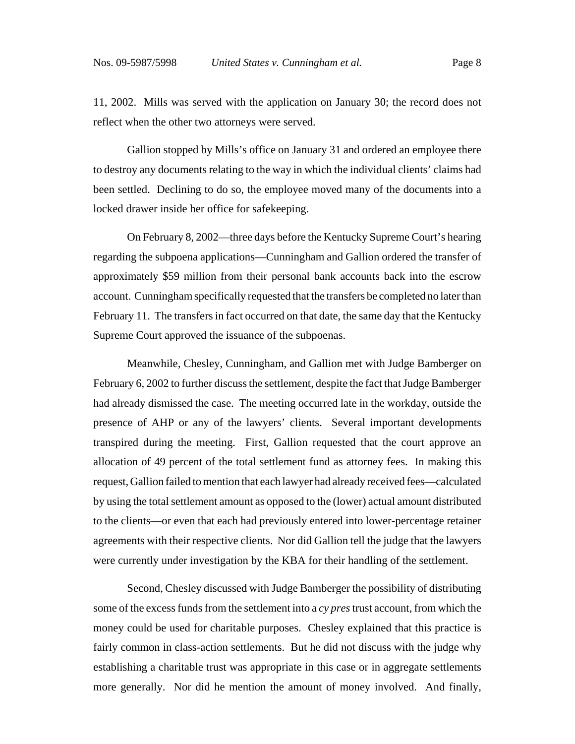11, 2002. Mills was served with the application on January 30; the record does not reflect when the other two attorneys were served.

Gallion stopped by Mills's office on January 31 and ordered an employee there to destroy any documents relating to the way in which the individual clients' claims had been settled. Declining to do so, the employee moved many of the documents into a locked drawer inside her office for safekeeping.

On February 8, 2002—three days before the Kentucky Supreme Court's hearing regarding the subpoena applications—Cunningham and Gallion ordered the transfer of approximately \$59 million from their personal bank accounts back into the escrow account. Cunningham specifically requested that the transfers be completed no later than February 11. The transfers in fact occurred on that date, the same day that the Kentucky Supreme Court approved the issuance of the subpoenas.

Meanwhile, Chesley, Cunningham, and Gallion met with Judge Bamberger on February 6, 2002 to further discuss the settlement, despite the fact that Judge Bamberger had already dismissed the case. The meeting occurred late in the workday, outside the presence of AHP or any of the lawyers' clients. Several important developments transpired during the meeting. First, Gallion requested that the court approve an allocation of 49 percent of the total settlement fund as attorney fees. In making this request, Gallion failed to mention that each lawyer had already received fees—calculated by using the total settlement amount as opposed to the (lower) actual amount distributed to the clients—or even that each had previously entered into lower-percentage retainer agreements with their respective clients. Nor did Gallion tell the judge that the lawyers were currently under investigation by the KBA for their handling of the settlement.

Second, Chesley discussed with Judge Bamberger the possibility of distributing some of the excess funds from the settlement into a *cy pres* trust account, from which the money could be used for charitable purposes. Chesley explained that this practice is fairly common in class-action settlements. But he did not discuss with the judge why establishing a charitable trust was appropriate in this case or in aggregate settlements more generally. Nor did he mention the amount of money involved. And finally,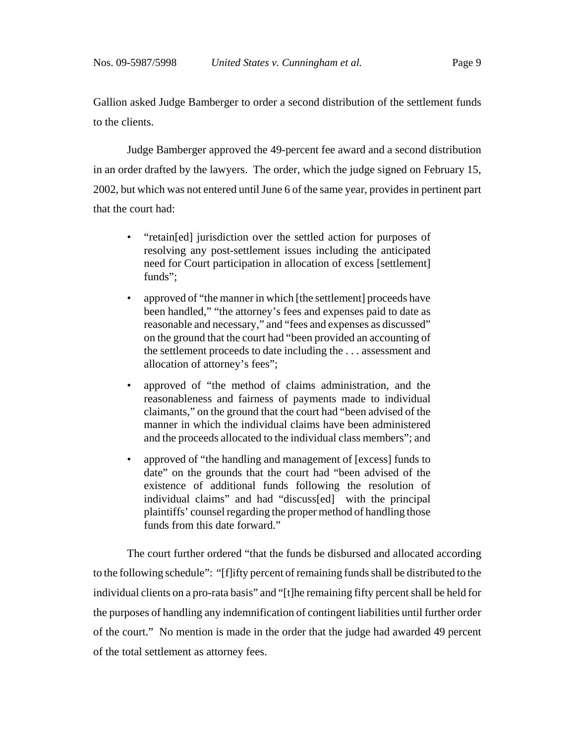Gallion asked Judge Bamberger to order a second distribution of the settlement funds to the clients.

Judge Bamberger approved the 49-percent fee award and a second distribution in an order drafted by the lawyers. The order, which the judge signed on February 15, 2002, but which was not entered until June 6 of the same year, provides in pertinent part that the court had:

- "retain[ed] jurisdiction over the settled action for purposes of resolving any post-settlement issues including the anticipated need for Court participation in allocation of excess [settlement] funds";
- approved of "the manner in which [the settlement] proceeds have been handled," "the attorney's fees and expenses paid to date as reasonable and necessary," and "fees and expenses as discussed" on the ground that the court had "been provided an accounting of the settlement proceeds to date including the . . . assessment and allocation of attorney's fees";
- approved of "the method of claims administration, and the reasonableness and fairness of payments made to individual claimants," on the ground that the court had "been advised of the manner in which the individual claims have been administered and the proceeds allocated to the individual class members"; and
- approved of "the handling and management of [excess] funds to date" on the grounds that the court had "been advised of the existence of additional funds following the resolution of individual claims" and had "discuss[ed] with the principal plaintiffs' counsel regarding the proper method of handling those funds from this date forward."

The court further ordered "that the funds be disbursed and allocated according to the following schedule": "[f]ifty percent of remaining funds shall be distributed to the individual clients on a pro-rata basis" and "[t]he remaining fifty percent shall be held for the purposes of handling any indemnification of contingent liabilities until further order of the court." No mention is made in the order that the judge had awarded 49 percent of the total settlement as attorney fees.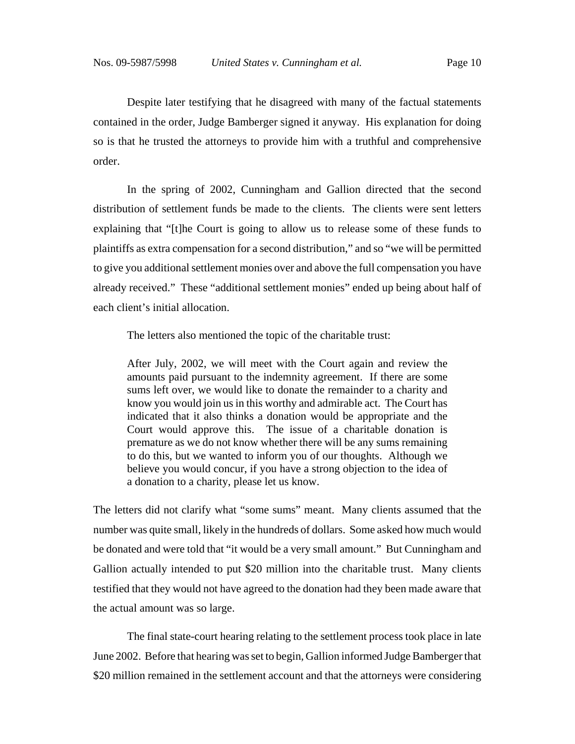Despite later testifying that he disagreed with many of the factual statements contained in the order, Judge Bamberger signed it anyway. His explanation for doing so is that he trusted the attorneys to provide him with a truthful and comprehensive order.

In the spring of 2002, Cunningham and Gallion directed that the second distribution of settlement funds be made to the clients. The clients were sent letters explaining that "[t]he Court is going to allow us to release some of these funds to plaintiffs as extra compensation for a second distribution," and so "we will be permitted to give you additional settlement monies over and above the full compensation you have already received." These "additional settlement monies" ended up being about half of each client's initial allocation.

The letters also mentioned the topic of the charitable trust:

After July, 2002, we will meet with the Court again and review the amounts paid pursuant to the indemnity agreement. If there are some sums left over, we would like to donate the remainder to a charity and know you would join us in this worthy and admirable act. The Court has indicated that it also thinks a donation would be appropriate and the Court would approve this. The issue of a charitable donation is premature as we do not know whether there will be any sums remaining to do this, but we wanted to inform you of our thoughts. Although we believe you would concur, if you have a strong objection to the idea of a donation to a charity, please let us know.

The letters did not clarify what "some sums" meant. Many clients assumed that the number was quite small, likely in the hundreds of dollars. Some asked how much would be donated and were told that "it would be a very small amount." But Cunningham and Gallion actually intended to put \$20 million into the charitable trust. Many clients testified that they would not have agreed to the donation had they been made aware that the actual amount was so large.

The final state-court hearing relating to the settlement process took place in late June 2002. Before that hearing was set to begin, Gallion informed Judge Bamberger that \$20 million remained in the settlement account and that the attorneys were considering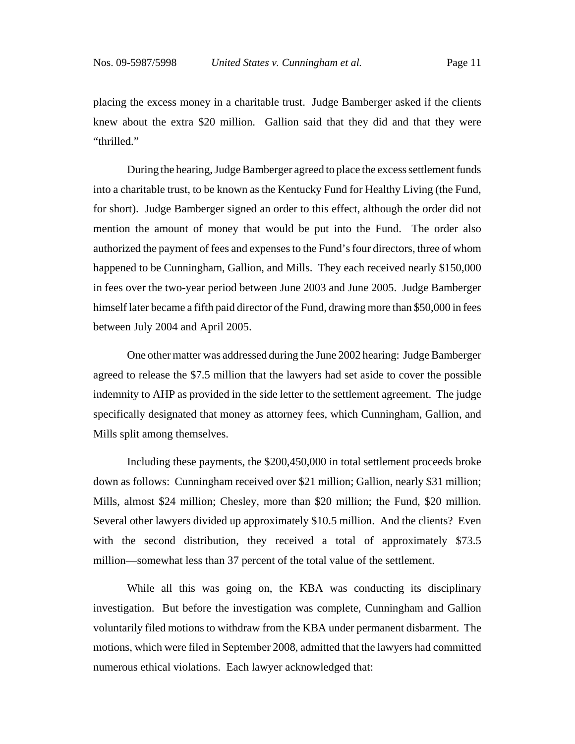placing the excess money in a charitable trust. Judge Bamberger asked if the clients knew about the extra \$20 million. Gallion said that they did and that they were "thrilled."

During the hearing, Judge Bamberger agreed to place the excess settlement funds into a charitable trust, to be known as the Kentucky Fund for Healthy Living (the Fund, for short). Judge Bamberger signed an order to this effect, although the order did not mention the amount of money that would be put into the Fund. The order also authorized the payment of fees and expenses to the Fund's four directors, three of whom happened to be Cunningham, Gallion, and Mills. They each received nearly \$150,000 in fees over the two-year period between June 2003 and June 2005. Judge Bamberger himself later became a fifth paid director of the Fund, drawing more than \$50,000 in fees between July 2004 and April 2005.

One other matter was addressed during the June 2002 hearing: Judge Bamberger agreed to release the \$7.5 million that the lawyers had set aside to cover the possible indemnity to AHP as provided in the side letter to the settlement agreement. The judge specifically designated that money as attorney fees, which Cunningham, Gallion, and Mills split among themselves.

Including these payments, the \$200,450,000 in total settlement proceeds broke down as follows: Cunningham received over \$21 million; Gallion, nearly \$31 million; Mills, almost \$24 million; Chesley, more than \$20 million; the Fund, \$20 million. Several other lawyers divided up approximately \$10.5 million. And the clients? Even with the second distribution, they received a total of approximately \$73.5 million—somewhat less than 37 percent of the total value of the settlement.

While all this was going on, the KBA was conducting its disciplinary investigation. But before the investigation was complete, Cunningham and Gallion voluntarily filed motions to withdraw from the KBA under permanent disbarment. The motions, which were filed in September 2008, admitted that the lawyers had committed numerous ethical violations. Each lawyer acknowledged that: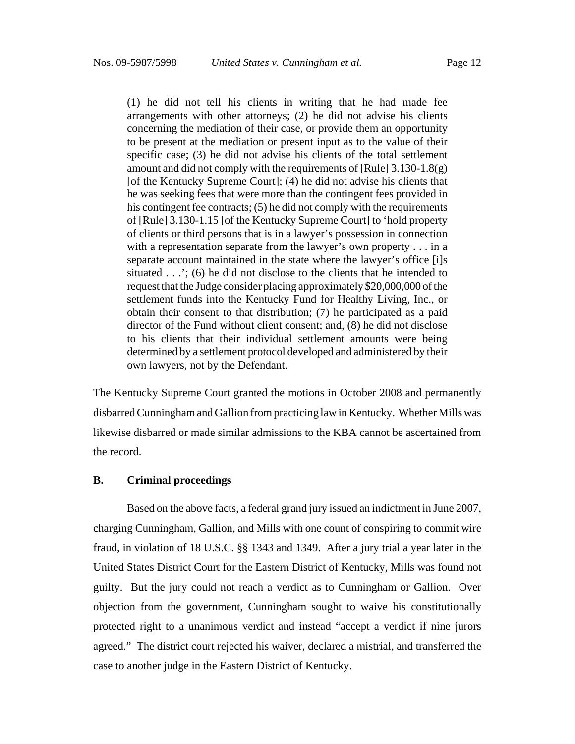(1) he did not tell his clients in writing that he had made fee arrangements with other attorneys; (2) he did not advise his clients concerning the mediation of their case, or provide them an opportunity to be present at the mediation or present input as to the value of their specific case; (3) he did not advise his clients of the total settlement amount and did not comply with the requirements of [Rule]  $3.130-1.8(g)$ [of the Kentucky Supreme Court]; (4) he did not advise his clients that he was seeking fees that were more than the contingent fees provided in his contingent fee contracts; (5) he did not comply with the requirements of [Rule] 3.130-1.15 [of the Kentucky Supreme Court] to 'hold property of clients or third persons that is in a lawyer's possession in connection with a representation separate from the lawyer's own property . . . in a separate account maintained in the state where the lawyer's office [i]s situated . . .'; (6) he did not disclose to the clients that he intended to request that the Judge consider placing approximately \$20,000,000 of the settlement funds into the Kentucky Fund for Healthy Living, Inc., or obtain their consent to that distribution; (7) he participated as a paid director of the Fund without client consent; and, (8) he did not disclose to his clients that their individual settlement amounts were being determined by a settlement protocol developed and administered by their own lawyers, not by the Defendant.

The Kentucky Supreme Court granted the motions in October 2008 and permanently disbarred Cunningham and Gallion from practicing law in Kentucky. Whether Mills was likewise disbarred or made similar admissions to the KBA cannot be ascertained from the record.

### **B. Criminal proceedings**

Based on the above facts, a federal grand jury issued an indictment in June 2007, charging Cunningham, Gallion, and Mills with one count of conspiring to commit wire fraud, in violation of 18 U.S.C. §§ 1343 and 1349. After a jury trial a year later in the United States District Court for the Eastern District of Kentucky, Mills was found not guilty. But the jury could not reach a verdict as to Cunningham or Gallion. Over objection from the government, Cunningham sought to waive his constitutionally protected right to a unanimous verdict and instead "accept a verdict if nine jurors agreed." The district court rejected his waiver, declared a mistrial, and transferred the case to another judge in the Eastern District of Kentucky.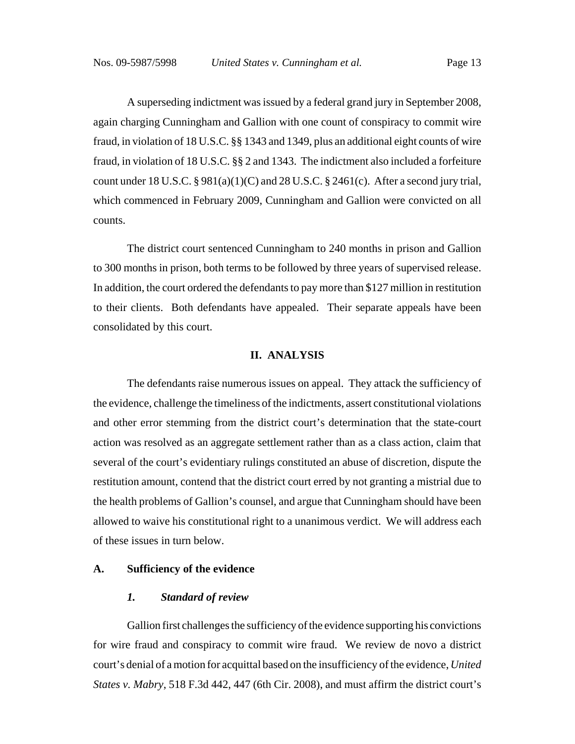A superseding indictment was issued by a federal grand jury in September 2008, again charging Cunningham and Gallion with one count of conspiracy to commit wire fraud, in violation of 18 U.S.C. §§ 1343 and 1349, plus an additional eight counts of wire fraud, in violation of 18 U.S.C. §§ 2 and 1343. The indictment also included a forfeiture count under 18 U.S.C.  $\S 981(a)(1)(C)$  and 28 U.S.C.  $\S 2461(c)$ . After a second jury trial, which commenced in February 2009, Cunningham and Gallion were convicted on all counts.

The district court sentenced Cunningham to 240 months in prison and Gallion to 300 months in prison, both terms to be followed by three years of supervised release. In addition, the court ordered the defendants to pay more than \$127 million in restitution to their clients. Both defendants have appealed. Their separate appeals have been consolidated by this court.

### **II. ANALYSIS**

The defendants raise numerous issues on appeal. They attack the sufficiency of the evidence, challenge the timeliness of the indictments, assert constitutional violations and other error stemming from the district court's determination that the state-court action was resolved as an aggregate settlement rather than as a class action, claim that several of the court's evidentiary rulings constituted an abuse of discretion, dispute the restitution amount, contend that the district court erred by not granting a mistrial due to the health problems of Gallion's counsel, and argue that Cunningham should have been allowed to waive his constitutional right to a unanimous verdict. We will address each of these issues in turn below.

### **A. Sufficiency of the evidence**

#### *1. Standard of review*

Gallion first challenges the sufficiency of the evidence supporting his convictions for wire fraud and conspiracy to commit wire fraud. We review de novo a district court's denial of a motion for acquittal based on the insufficiency of the evidence, *United States v. Mabry*, 518 F.3d 442, 447 (6th Cir. 2008), and must affirm the district court's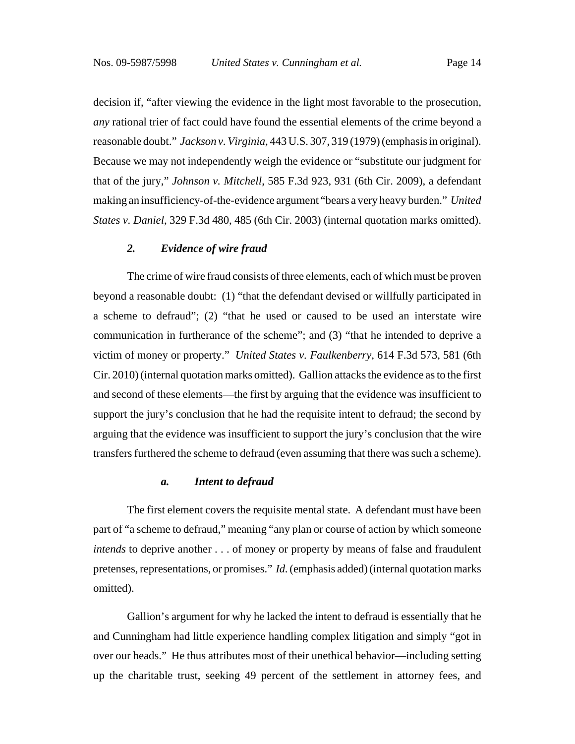decision if, "after viewing the evidence in the light most favorable to the prosecution, *any* rational trier of fact could have found the essential elements of the crime beyond a reasonable doubt." *Jackson v. Virginia*, 443 U.S. 307, 319 (1979) (emphasis in original). Because we may not independently weigh the evidence or "substitute our judgment for that of the jury," *Johnson v. Mitchell*, 585 F.3d 923, 931 (6th Cir. 2009), a defendant making an insufficiency-of-the-evidence argument "bears a very heavy burden." *United States v. Daniel*, 329 F.3d 480, 485 (6th Cir. 2003) (internal quotation marks omitted).

### *2. Evidence of wire fraud*

The crime of wire fraud consists of three elements, each of which must be proven beyond a reasonable doubt: (1) "that the defendant devised or willfully participated in a scheme to defraud"; (2) "that he used or caused to be used an interstate wire communication in furtherance of the scheme"; and (3) "that he intended to deprive a victim of money or property." *United States v. Faulkenberry*, 614 F.3d 573, 581 (6th Cir. 2010) (internal quotation marks omitted). Gallion attacks the evidence as to the first and second of these elements—the first by arguing that the evidence was insufficient to support the jury's conclusion that he had the requisite intent to defraud; the second by arguing that the evidence was insufficient to support the jury's conclusion that the wire transfers furthered the scheme to defraud (even assuming that there was such a scheme).

#### *a. Intent to defraud*

The first element covers the requisite mental state. A defendant must have been part of "a scheme to defraud," meaning "any plan or course of action by which someone *intends* to deprive another . . . of money or property by means of false and fraudulent pretenses, representations, or promises." *Id.* (emphasis added) (internal quotation marks omitted).

Gallion's argument for why he lacked the intent to defraud is essentially that he and Cunningham had little experience handling complex litigation and simply "got in over our heads." He thus attributes most of their unethical behavior—including setting up the charitable trust, seeking 49 percent of the settlement in attorney fees, and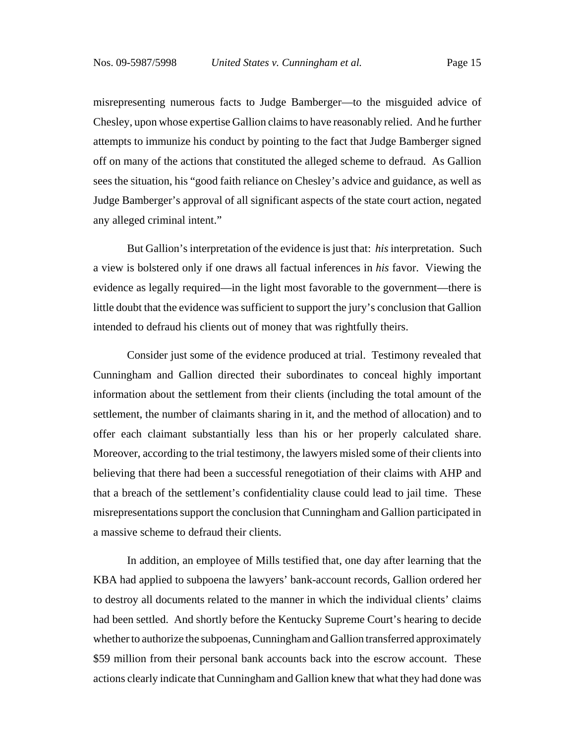misrepresenting numerous facts to Judge Bamberger—to the misguided advice of Chesley, upon whose expertise Gallion claims to have reasonably relied. And he further attempts to immunize his conduct by pointing to the fact that Judge Bamberger signed off on many of the actions that constituted the alleged scheme to defraud. As Gallion sees the situation, his "good faith reliance on Chesley's advice and guidance, as well as Judge Bamberger's approval of all significant aspects of the state court action, negated any alleged criminal intent."

 But Gallion's interpretation of the evidence is just that: *his* interpretation. Such a view is bolstered only if one draws all factual inferences in *his* favor. Viewing the evidence as legally required—in the light most favorable to the government—there is little doubt that the evidence was sufficient to support the jury's conclusion that Gallion intended to defraud his clients out of money that was rightfully theirs.

Consider just some of the evidence produced at trial. Testimony revealed that Cunningham and Gallion directed their subordinates to conceal highly important information about the settlement from their clients (including the total amount of the settlement, the number of claimants sharing in it, and the method of allocation) and to offer each claimant substantially less than his or her properly calculated share. Moreover, according to the trial testimony, the lawyers misled some of their clients into believing that there had been a successful renegotiation of their claims with AHP and that a breach of the settlement's confidentiality clause could lead to jail time. These misrepresentations support the conclusion that Cunningham and Gallion participated in a massive scheme to defraud their clients.

In addition, an employee of Mills testified that, one day after learning that the KBA had applied to subpoena the lawyers' bank-account records, Gallion ordered her to destroy all documents related to the manner in which the individual clients' claims had been settled. And shortly before the Kentucky Supreme Court's hearing to decide whether to authorize the subpoenas, Cunningham and Gallion transferred approximately \$59 million from their personal bank accounts back into the escrow account. These actions clearly indicate that Cunningham and Gallion knew that what they had done was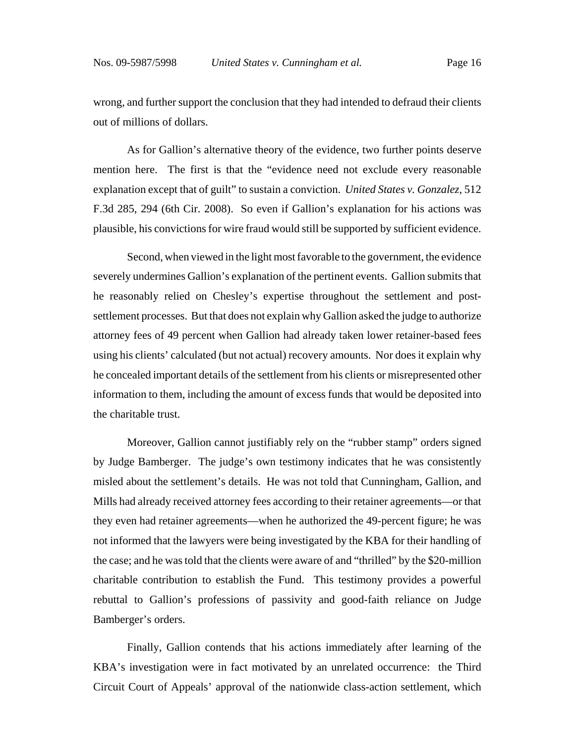wrong, and further support the conclusion that they had intended to defraud their clients out of millions of dollars.

As for Gallion's alternative theory of the evidence, two further points deserve mention here. The first is that the "evidence need not exclude every reasonable explanation except that of guilt" to sustain a conviction. *United States v. Gonzalez*, 512 F.3d 285, 294 (6th Cir. 2008). So even if Gallion's explanation for his actions was plausible, his convictions for wire fraud would still be supported by sufficient evidence.

Second, when viewed in the light most favorable to the government, the evidence severely undermines Gallion's explanation of the pertinent events. Gallion submits that he reasonably relied on Chesley's expertise throughout the settlement and postsettlement processes. But that does not explain why Gallion asked the judge to authorize attorney fees of 49 percent when Gallion had already taken lower retainer-based fees using his clients' calculated (but not actual) recovery amounts. Nor does it explain why he concealed important details of the settlement from his clients or misrepresented other information to them, including the amount of excess funds that would be deposited into the charitable trust.

Moreover, Gallion cannot justifiably rely on the "rubber stamp" orders signed by Judge Bamberger. The judge's own testimony indicates that he was consistently misled about the settlement's details. He was not told that Cunningham, Gallion, and Mills had already received attorney fees according to their retainer agreements—or that they even had retainer agreements—when he authorized the 49-percent figure; he was not informed that the lawyers were being investigated by the KBA for their handling of the case; and he was told that the clients were aware of and "thrilled" by the \$20-million charitable contribution to establish the Fund. This testimony provides a powerful rebuttal to Gallion's professions of passivity and good-faith reliance on Judge Bamberger's orders.

Finally, Gallion contends that his actions immediately after learning of the KBA's investigation were in fact motivated by an unrelated occurrence: the Third Circuit Court of Appeals' approval of the nationwide class-action settlement, which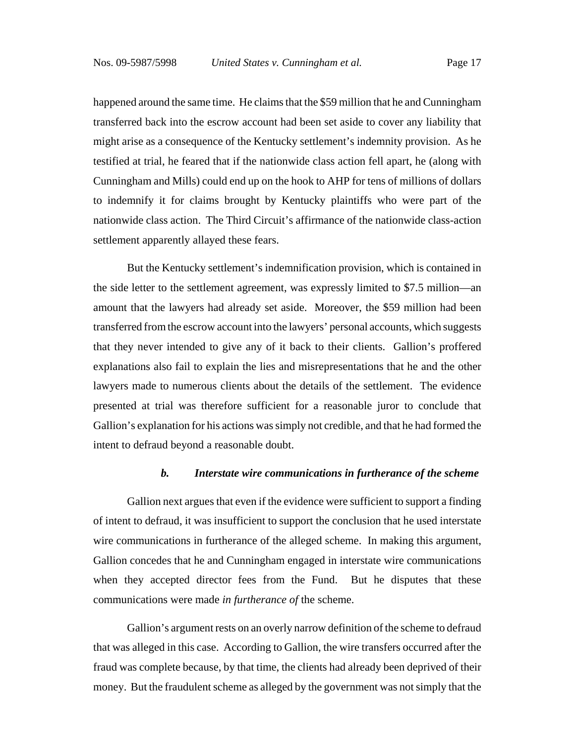happened around the same time. He claims that the \$59 million that he and Cunningham transferred back into the escrow account had been set aside to cover any liability that might arise as a consequence of the Kentucky settlement's indemnity provision. As he testified at trial, he feared that if the nationwide class action fell apart, he (along with Cunningham and Mills) could end up on the hook to AHP for tens of millions of dollars to indemnify it for claims brought by Kentucky plaintiffs who were part of the nationwide class action. The Third Circuit's affirmance of the nationwide class-action settlement apparently allayed these fears.

But the Kentucky settlement's indemnification provision, which is contained in the side letter to the settlement agreement, was expressly limited to \$7.5 million—an amount that the lawyers had already set aside. Moreover, the \$59 million had been transferred from the escrow account into the lawyers' personal accounts, which suggests that they never intended to give any of it back to their clients. Gallion's proffered explanations also fail to explain the lies and misrepresentations that he and the other lawyers made to numerous clients about the details of the settlement. The evidence presented at trial was therefore sufficient for a reasonable juror to conclude that Gallion's explanation for his actions was simply not credible, and that he had formed the intent to defraud beyond a reasonable doubt.

#### *b. Interstate wire communications in furtherance of the scheme*

Gallion next argues that even if the evidence were sufficient to support a finding of intent to defraud, it was insufficient to support the conclusion that he used interstate wire communications in furtherance of the alleged scheme. In making this argument, Gallion concedes that he and Cunningham engaged in interstate wire communications when they accepted director fees from the Fund. But he disputes that these communications were made *in furtherance of* the scheme.

Gallion's argument rests on an overly narrow definition of the scheme to defraud that was alleged in this case. According to Gallion, the wire transfers occurred after the fraud was complete because, by that time, the clients had already been deprived of their money. But the fraudulent scheme as alleged by the government was not simply that the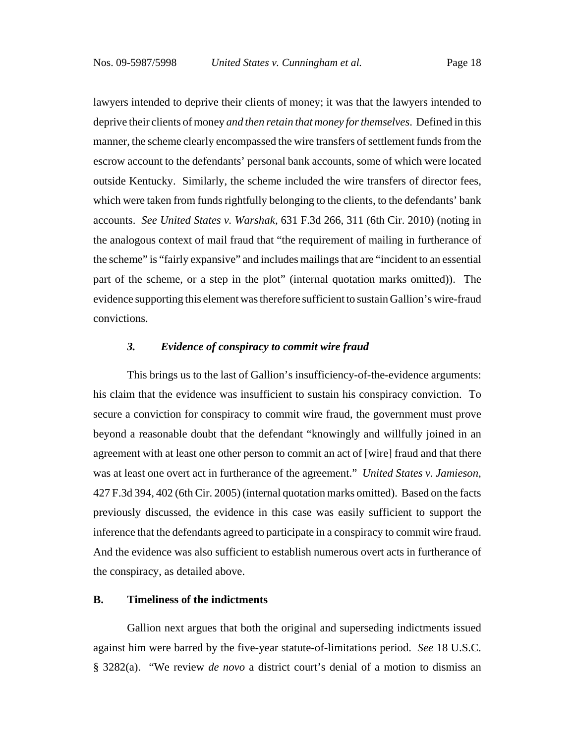lawyers intended to deprive their clients of money; it was that the lawyers intended to deprive their clients of money *and then retain that money for themselves*. Defined in this manner, the scheme clearly encompassed the wire transfers of settlement funds from the escrow account to the defendants' personal bank accounts, some of which were located outside Kentucky. Similarly, the scheme included the wire transfers of director fees, which were taken from funds rightfully belonging to the clients, to the defendants' bank accounts. *See United States v. Warshak*, 631 F.3d 266, 311 (6th Cir. 2010) (noting in the analogous context of mail fraud that "the requirement of mailing in furtherance of the scheme" is "fairly expansive" and includes mailings that are "incident to an essential part of the scheme, or a step in the plot" (internal quotation marks omitted)). The evidence supporting this element was therefore sufficient to sustain Gallion's wire-fraud convictions.

### *3. Evidence of conspiracy to commit wire fraud*

This brings us to the last of Gallion's insufficiency-of-the-evidence arguments: his claim that the evidence was insufficient to sustain his conspiracy conviction. To secure a conviction for conspiracy to commit wire fraud, the government must prove beyond a reasonable doubt that the defendant "knowingly and willfully joined in an agreement with at least one other person to commit an act of [wire] fraud and that there was at least one overt act in furtherance of the agreement." *United States v. Jamieson*, 427 F.3d 394, 402 (6th Cir. 2005) (internal quotation marks omitted). Based on the facts previously discussed, the evidence in this case was easily sufficient to support the inference that the defendants agreed to participate in a conspiracy to commit wire fraud. And the evidence was also sufficient to establish numerous overt acts in furtherance of the conspiracy, as detailed above.

### **B. Timeliness of the indictments**

Gallion next argues that both the original and superseding indictments issued against him were barred by the five-year statute-of-limitations period. *See* 18 U.S.C. § 3282(a). "We review *de novo* a district court's denial of a motion to dismiss an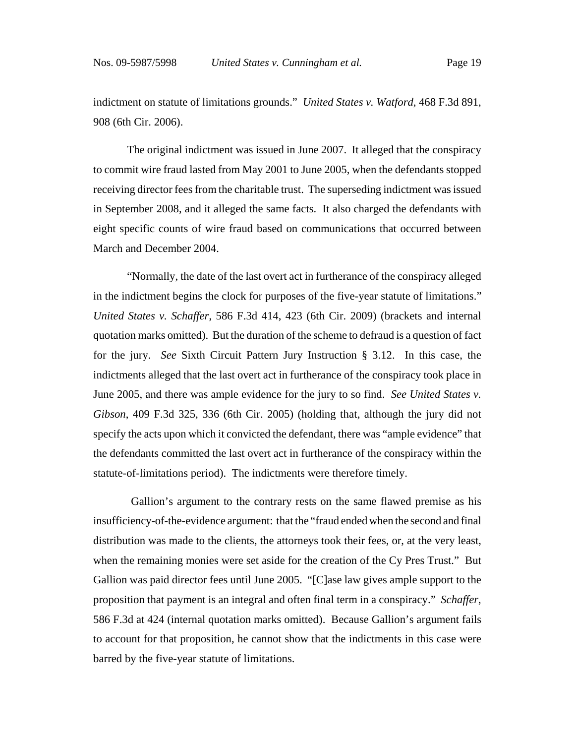indictment on statute of limitations grounds." *United States v. Watford*, 468 F.3d 891, 908 (6th Cir. 2006).

The original indictment was issued in June 2007. It alleged that the conspiracy to commit wire fraud lasted from May 2001 to June 2005, when the defendants stopped receiving director fees from the charitable trust. The superseding indictment was issued in September 2008, and it alleged the same facts. It also charged the defendants with eight specific counts of wire fraud based on communications that occurred between March and December 2004.

"Normally, the date of the last overt act in furtherance of the conspiracy alleged in the indictment begins the clock for purposes of the five-year statute of limitations." *United States v. Schaffer*, 586 F.3d 414, 423 (6th Cir. 2009) (brackets and internal quotation marks omitted). But the duration of the scheme to defraud is a question of fact for the jury. *See* Sixth Circuit Pattern Jury Instruction § 3.12. In this case, the indictments alleged that the last overt act in furtherance of the conspiracy took place in June 2005, and there was ample evidence for the jury to so find. *See United States v. Gibson*, 409 F.3d 325, 336 (6th Cir. 2005) (holding that, although the jury did not specify the acts upon which it convicted the defendant, there was "ample evidence" that the defendants committed the last overt act in furtherance of the conspiracy within the statute-of-limitations period). The indictments were therefore timely.

 Gallion's argument to the contrary rests on the same flawed premise as his insufficiency-of-the-evidence argument: that the "fraud ended when the second and final distribution was made to the clients, the attorneys took their fees, or, at the very least, when the remaining monies were set aside for the creation of the Cy Pres Trust." But Gallion was paid director fees until June 2005. "[C]ase law gives ample support to the proposition that payment is an integral and often final term in a conspiracy." *Schaffer*, 586 F.3d at 424 (internal quotation marks omitted). Because Gallion's argument fails to account for that proposition, he cannot show that the indictments in this case were barred by the five-year statute of limitations.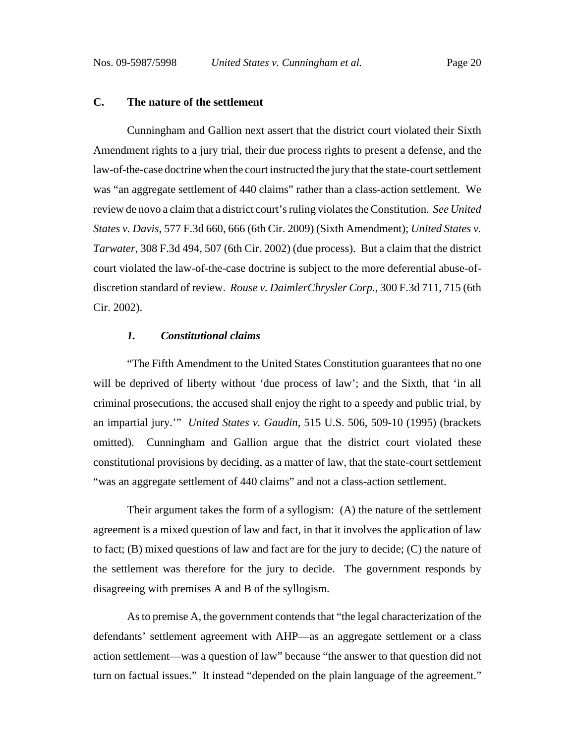### **C. The nature of the settlement**

Cunningham and Gallion next assert that the district court violated their Sixth Amendment rights to a jury trial, their due process rights to present a defense, and the law-of-the-case doctrine when the court instructed the jury that the state-court settlement was "an aggregate settlement of 440 claims" rather than a class-action settlement. We review de novo a claim that a district court's ruling violates the Constitution. *See United States v. Davis*, 577 F.3d 660, 666 (6th Cir. 2009) (Sixth Amendment); *United States v. Tarwater*, 308 F.3d 494, 507 (6th Cir. 2002) (due process). But a claim that the district court violated the law-of-the-case doctrine is subject to the more deferential abuse-ofdiscretion standard of review. *Rouse v. DaimlerChrysler Corp.*, 300 F.3d 711, 715 (6th Cir. 2002).

#### *1. Constitutional claims*

"The Fifth Amendment to the United States Constitution guarantees that no one will be deprived of liberty without 'due process of law'; and the Sixth, that 'in all criminal prosecutions, the accused shall enjoy the right to a speedy and public trial, by an impartial jury.'" *United States v. Gaudin*, 515 U.S. 506, 509-10 (1995) (brackets omitted). Cunningham and Gallion argue that the district court violated these constitutional provisions by deciding, as a matter of law, that the state-court settlement "was an aggregate settlement of 440 claims" and not a class-action settlement.

Their argument takes the form of a syllogism: (A) the nature of the settlement agreement is a mixed question of law and fact, in that it involves the application of law to fact; (B) mixed questions of law and fact are for the jury to decide; (C) the nature of the settlement was therefore for the jury to decide. The government responds by disagreeing with premises A and B of the syllogism.

As to premise A, the government contends that "the legal characterization of the defendants' settlement agreement with AHP—as an aggregate settlement or a class action settlement—was a question of law" because "the answer to that question did not turn on factual issues." It instead "depended on the plain language of the agreement."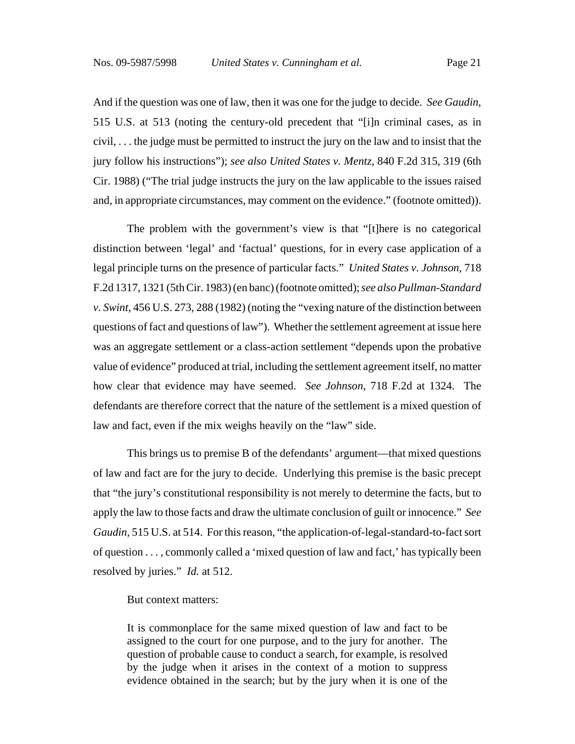And if the question was one of law, then it was one for the judge to decide. *See Gaudin*, 515 U.S. at 513 (noting the century-old precedent that "[i]n criminal cases, as in civil, . . . the judge must be permitted to instruct the jury on the law and to insist that the jury follow his instructions"); *see also United States v. Mentz*, 840 F.2d 315, 319 (6th Cir. 1988) ("The trial judge instructs the jury on the law applicable to the issues raised and, in appropriate circumstances, may comment on the evidence." (footnote omitted)).

The problem with the government's view is that "[t]here is no categorical distinction between 'legal' and 'factual' questions, for in every case application of a legal principle turns on the presence of particular facts." *United States v. Johnson*, 718 F.2d 1317, 1321 (5th Cir. 1983) (en banc) (footnote omitted); *see also Pullman-Standard v. Swint*, 456 U.S. 273, 288 (1982) (noting the "vexing nature of the distinction between questions of fact and questions of law"). Whether the settlement agreement at issue here was an aggregate settlement or a class-action settlement "depends upon the probative value of evidence" produced at trial, including the settlement agreement itself, no matter how clear that evidence may have seemed. *See Johnson*, 718 F.2d at 1324. The defendants are therefore correct that the nature of the settlement is a mixed question of law and fact, even if the mix weighs heavily on the "law" side.

This brings us to premise B of the defendants' argument—that mixed questions of law and fact are for the jury to decide. Underlying this premise is the basic precept that "the jury's constitutional responsibility is not merely to determine the facts, but to apply the law to those facts and draw the ultimate conclusion of guilt or innocence." *See Gaudin*, 515 U.S. at 514. For this reason, "the application-of-legal-standard-to-fact sort of question . . . , commonly called a 'mixed question of law and fact,' has typically been resolved by juries." *Id.* at 512.

#### But context matters:

It is commonplace for the same mixed question of law and fact to be assigned to the court for one purpose, and to the jury for another. The question of probable cause to conduct a search, for example, is resolved by the judge when it arises in the context of a motion to suppress evidence obtained in the search; but by the jury when it is one of the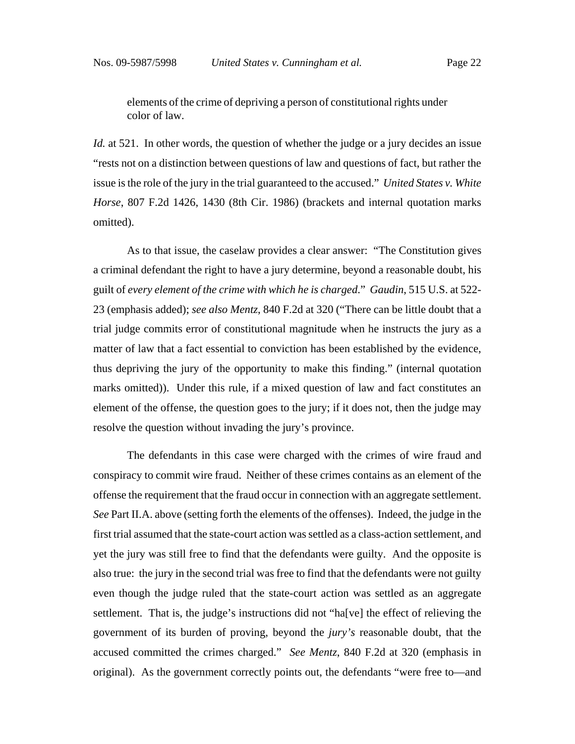elements of the crime of depriving a person of constitutional rights under color of law.

*Id.* at 521. In other words, the question of whether the judge or a jury decides an issue "rests not on a distinction between questions of law and questions of fact, but rather the issue is the role of the jury in the trial guaranteed to the accused." *United States v. White Horse*, 807 F.2d 1426, 1430 (8th Cir. 1986) (brackets and internal quotation marks omitted).

As to that issue, the caselaw provides a clear answer: "The Constitution gives a criminal defendant the right to have a jury determine, beyond a reasonable doubt, his guilt of *every element of the crime with which he is charged*." *Gaudin*, 515 U.S. at 522- 23 (emphasis added); *see also Mentz*, 840 F.2d at 320 ("There can be little doubt that a trial judge commits error of constitutional magnitude when he instructs the jury as a matter of law that a fact essential to conviction has been established by the evidence, thus depriving the jury of the opportunity to make this finding." (internal quotation marks omitted)). Under this rule, if a mixed question of law and fact constitutes an element of the offense, the question goes to the jury; if it does not, then the judge may resolve the question without invading the jury's province.

The defendants in this case were charged with the crimes of wire fraud and conspiracy to commit wire fraud. Neither of these crimes contains as an element of the offense the requirement that the fraud occur in connection with an aggregate settlement. *See* Part II.A. above (setting forth the elements of the offenses). Indeed, the judge in the first trial assumed that the state-court action was settled as a class-action settlement, and yet the jury was still free to find that the defendants were guilty. And the opposite is also true: the jury in the second trial was free to find that the defendants were not guilty even though the judge ruled that the state-court action was settled as an aggregate settlement. That is, the judge's instructions did not "ha[ve] the effect of relieving the government of its burden of proving, beyond the *jury's* reasonable doubt, that the accused committed the crimes charged." *See Mentz*, 840 F.2d at 320 (emphasis in original). As the government correctly points out, the defendants "were free to—and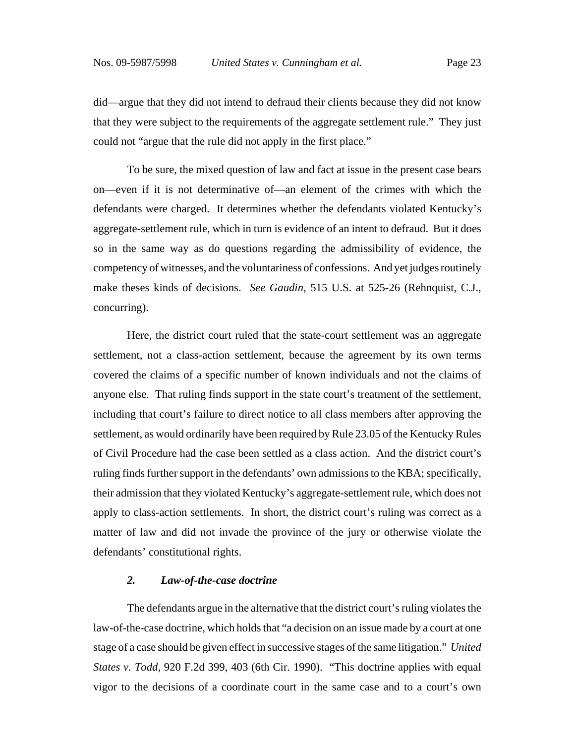did—argue that they did not intend to defraud their clients because they did not know that they were subject to the requirements of the aggregate settlement rule." They just could not "argue that the rule did not apply in the first place."

To be sure, the mixed question of law and fact at issue in the present case bears on—even if it is not determinative of—an element of the crimes with which the defendants were charged. It determines whether the defendants violated Kentucky's aggregate-settlement rule, which in turn is evidence of an intent to defraud. But it does so in the same way as do questions regarding the admissibility of evidence, the competency of witnesses, and the voluntariness of confessions. And yet judges routinely make theses kinds of decisions. *See Gaudin*, 515 U.S. at 525-26 (Rehnquist, C.J., concurring).

Here, the district court ruled that the state-court settlement was an aggregate settlement, not a class-action settlement, because the agreement by its own terms covered the claims of a specific number of known individuals and not the claims of anyone else. That ruling finds support in the state court's treatment of the settlement, including that court's failure to direct notice to all class members after approving the settlement, as would ordinarily have been required by Rule 23.05 of the Kentucky Rules of Civil Procedure had the case been settled as a class action. And the district court's ruling finds further support in the defendants' own admissions to the KBA; specifically, their admission that they violated Kentucky's aggregate-settlement rule, which does not apply to class-action settlements. In short, the district court's ruling was correct as a matter of law and did not invade the province of the jury or otherwise violate the defendants' constitutional rights.

### *2. Law-of-the-case doctrine*

The defendants argue in the alternative that the district court's ruling violates the law-of-the-case doctrine, which holds that "a decision on an issue made by a court at one stage of a case should be given effect in successive stages of the same litigation." *United States v. Todd*, 920 F.2d 399, 403 (6th Cir. 1990). "This doctrine applies with equal vigor to the decisions of a coordinate court in the same case and to a court's own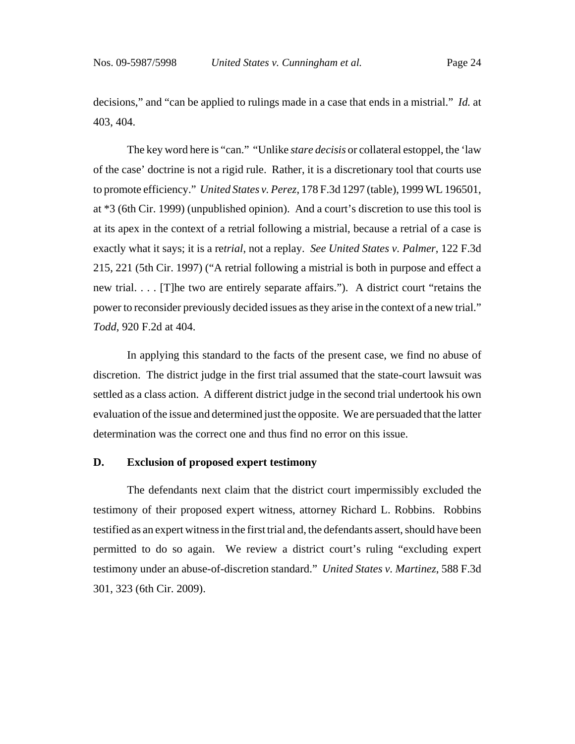decisions," and "can be applied to rulings made in a case that ends in a mistrial." *Id.* at 403, 404.

The key word here is "can." "Unlike *stare decisis* or collateral estoppel, the 'law of the case' doctrine is not a rigid rule. Rather, it is a discretionary tool that courts use to promote efficiency." *United States v. Perez*, 178 F.3d 1297 (table), 1999 WL 196501, at \*3 (6th Cir. 1999) (unpublished opinion). And a court's discretion to use this tool is at its apex in the context of a retrial following a mistrial, because a retrial of a case is exactly what it says; it is a re*trial*, not a replay. *See United States v. Palmer*, 122 F.3d 215, 221 (5th Cir. 1997) ("A retrial following a mistrial is both in purpose and effect a new trial. . . . [T]he two are entirely separate affairs."). A district court "retains the power to reconsider previously decided issues as they arise in the context of a new trial." *Todd*, 920 F.2d at 404.

In applying this standard to the facts of the present case, we find no abuse of discretion. The district judge in the first trial assumed that the state-court lawsuit was settled as a class action. A different district judge in the second trial undertook his own evaluation of the issue and determined just the opposite. We are persuaded that the latter determination was the correct one and thus find no error on this issue.

## **D. Exclusion of proposed expert testimony**

The defendants next claim that the district court impermissibly excluded the testimony of their proposed expert witness, attorney Richard L. Robbins. Robbins testified as an expert witness in the first trial and, the defendants assert, should have been permitted to do so again. We review a district court's ruling "excluding expert testimony under an abuse-of-discretion standard." *United States v. Martinez*, 588 F.3d 301, 323 (6th Cir. 2009).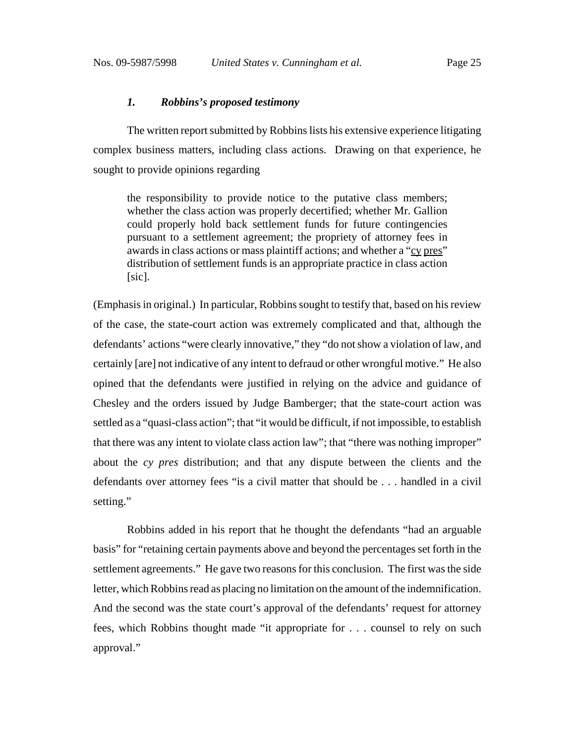#### *1. Robbins's proposed testimony*

The written report submitted by Robbins lists his extensive experience litigating complex business matters, including class actions. Drawing on that experience, he sought to provide opinions regarding

the responsibility to provide notice to the putative class members; whether the class action was properly decertified; whether Mr. Gallion could properly hold back settlement funds for future contingencies pursuant to a settlement agreement; the propriety of attorney fees in awards in class actions or mass plaintiff actions; and whether a "cy pres" distribution of settlement funds is an appropriate practice in class action [sic].

(Emphasis in original.) In particular, Robbins sought to testify that, based on his review of the case, the state-court action was extremely complicated and that, although the defendants' actions "were clearly innovative," they "do not show a violation of law, and certainly [are] not indicative of any intent to defraud or other wrongful motive." He also opined that the defendants were justified in relying on the advice and guidance of Chesley and the orders issued by Judge Bamberger; that the state-court action was settled as a "quasi-class action"; that "it would be difficult, if not impossible, to establish that there was any intent to violate class action law"; that "there was nothing improper" about the *cy pres* distribution; and that any dispute between the clients and the defendants over attorney fees "is a civil matter that should be . . . handled in a civil setting."

Robbins added in his report that he thought the defendants "had an arguable basis" for "retaining certain payments above and beyond the percentages set forth in the settlement agreements." He gave two reasons for this conclusion. The first was the side letter, which Robbins read as placing no limitation on the amount of the indemnification. And the second was the state court's approval of the defendants' request for attorney fees, which Robbins thought made "it appropriate for . . . counsel to rely on such approval."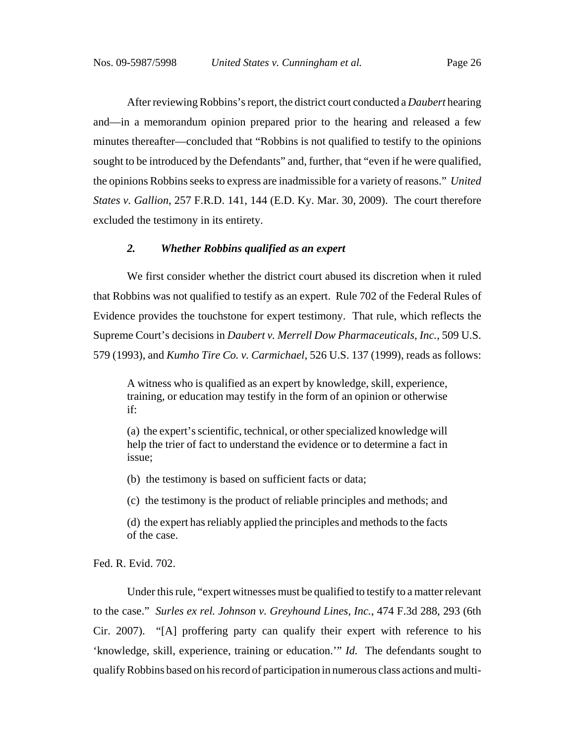After reviewing Robbins's report, the district court conducted a *Daubert* hearing and—in a memorandum opinion prepared prior to the hearing and released a few minutes thereafter—concluded that "Robbins is not qualified to testify to the opinions sought to be introduced by the Defendants" and, further, that "even if he were qualified, the opinions Robbins seeks to express are inadmissible for a variety of reasons." *United States v. Gallion*, 257 F.R.D. 141, 144 (E.D. Ky. Mar. 30, 2009). The court therefore excluded the testimony in its entirety.

### *2. Whether Robbins qualified as an expert*

We first consider whether the district court abused its discretion when it ruled that Robbins was not qualified to testify as an expert. Rule 702 of the Federal Rules of Evidence provides the touchstone for expert testimony. That rule, which reflects the Supreme Court's decisions in *Daubert v. Merrell Dow Pharmaceuticals, Inc.*, 509 U.S. 579 (1993), and *Kumho Tire Co. v. Carmichael*, 526 U.S. 137 (1999), reads as follows:

A witness who is qualified as an expert by knowledge, skill, experience, training, or education may testify in the form of an opinion or otherwise if:

(a) the expert's scientific, technical, or other specialized knowledge will help the trier of fact to understand the evidence or to determine a fact in issue;

(b) the testimony is based on sufficient facts or data;

(c) the testimony is the product of reliable principles and methods; and

(d) the expert has reliably applied the principles and methods to the facts of the case.

Fed. R. Evid. 702.

Under this rule, "expert witnesses must be qualified to testify to a matter relevant to the case." *Surles ex rel. Johnson v. Greyhound Lines, Inc.*, 474 F.3d 288, 293 (6th Cir. 2007). "[A] proffering party can qualify their expert with reference to his 'knowledge, skill, experience, training or education.'" *Id.* The defendants sought to qualify Robbins based on his record of participation in numerous class actions and multi-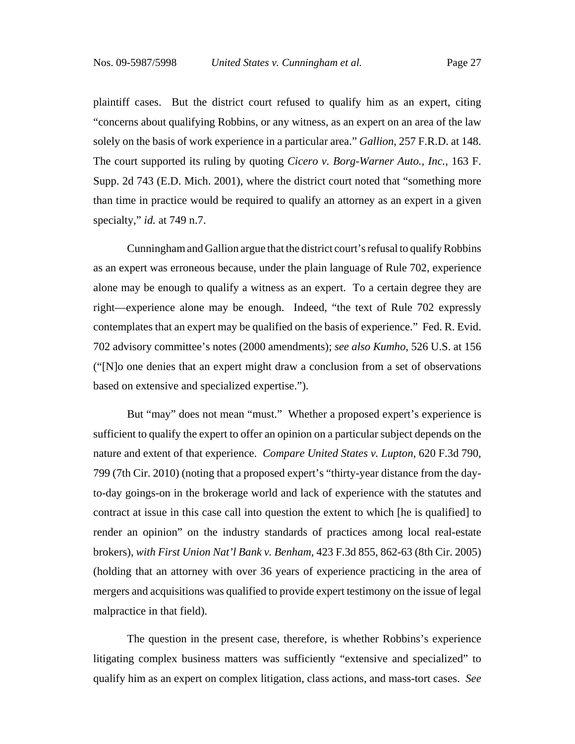plaintiff cases. But the district court refused to qualify him as an expert, citing "concerns about qualifying Robbins, or any witness, as an expert on an area of the law solely on the basis of work experience in a particular area." *Gallion*, 257 F.R.D. at 148. The court supported its ruling by quoting *Cicero v. Borg-Warner Auto., Inc.*, 163 F. Supp. 2d 743 (E.D. Mich. 2001), where the district court noted that "something more than time in practice would be required to qualify an attorney as an expert in a given specialty," *id.* at 749 n.7.

Cunningham and Gallion argue that the district court's refusal to qualify Robbins as an expert was erroneous because, under the plain language of Rule 702, experience alone may be enough to qualify a witness as an expert. To a certain degree they are right—experience alone may be enough. Indeed, "the text of Rule 702 expressly contemplates that an expert may be qualified on the basis of experience." Fed. R. Evid. 702 advisory committee's notes (2000 amendments); *see also Kumho*, 526 U.S. at 156 ("[N]o one denies that an expert might draw a conclusion from a set of observations based on extensive and specialized expertise.").

But "may" does not mean "must." Whether a proposed expert's experience is sufficient to qualify the expert to offer an opinion on a particular subject depends on the nature and extent of that experience. *Compare United States v. Lupton*, 620 F.3d 790, 799 (7th Cir. 2010) (noting that a proposed expert's "thirty-year distance from the dayto-day goings-on in the brokerage world and lack of experience with the statutes and contract at issue in this case call into question the extent to which [he is qualified] to render an opinion" on the industry standards of practices among local real-estate brokers), *with First Union Nat'l Bank v. Benham*, 423 F.3d 855, 862-63 (8th Cir. 2005) (holding that an attorney with over 36 years of experience practicing in the area of mergers and acquisitions was qualified to provide expert testimony on the issue of legal malpractice in that field).

The question in the present case, therefore, is whether Robbins's experience litigating complex business matters was sufficiently "extensive and specialized" to qualify him as an expert on complex litigation, class actions, and mass-tort cases. *See*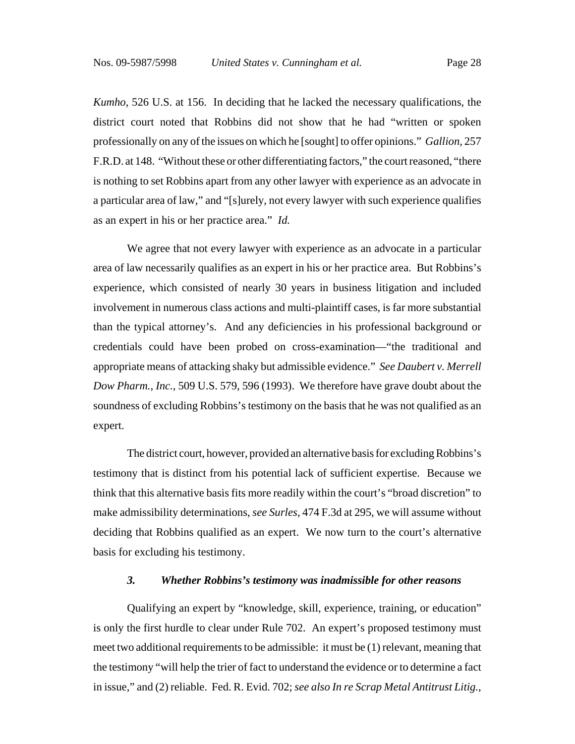*Kumho*, 526 U.S. at 156. In deciding that he lacked the necessary qualifications, the district court noted that Robbins did not show that he had "written or spoken professionally on any of the issues on which he [sought] to offer opinions." *Gallion*, 257 F.R.D. at 148. "Without these or other differentiating factors," the court reasoned, "there is nothing to set Robbins apart from any other lawyer with experience as an advocate in a particular area of law," and "[s]urely, not every lawyer with such experience qualifies as an expert in his or her practice area." *Id.*

We agree that not every lawyer with experience as an advocate in a particular area of law necessarily qualifies as an expert in his or her practice area. But Robbins's experience, which consisted of nearly 30 years in business litigation and included involvement in numerous class actions and multi-plaintiff cases, is far more substantial than the typical attorney's. And any deficiencies in his professional background or credentials could have been probed on cross-examination—"the traditional and appropriate means of attacking shaky but admissible evidence." *See Daubert v. Merrell Dow Pharm., Inc.*, 509 U.S. 579, 596 (1993). We therefore have grave doubt about the soundness of excluding Robbins's testimony on the basis that he was not qualified as an expert.

The district court, however, provided an alternative basis for excluding Robbins's testimony that is distinct from his potential lack of sufficient expertise. Because we think that this alternative basis fits more readily within the court's "broad discretion" to make admissibility determinations, *see Surles*, 474 F.3d at 295, we will assume without deciding that Robbins qualified as an expert. We now turn to the court's alternative basis for excluding his testimony.

#### *3. Whether Robbins's testimony was inadmissible for other reasons*

Qualifying an expert by "knowledge, skill, experience, training, or education" is only the first hurdle to clear under Rule 702. An expert's proposed testimony must meet two additional requirements to be admissible: it must be (1) relevant, meaning that the testimony "will help the trier of fact to understand the evidence or to determine a fact in issue," and (2) reliable. Fed. R. Evid. 702; *see also In re Scrap Metal Antitrust Litig.*,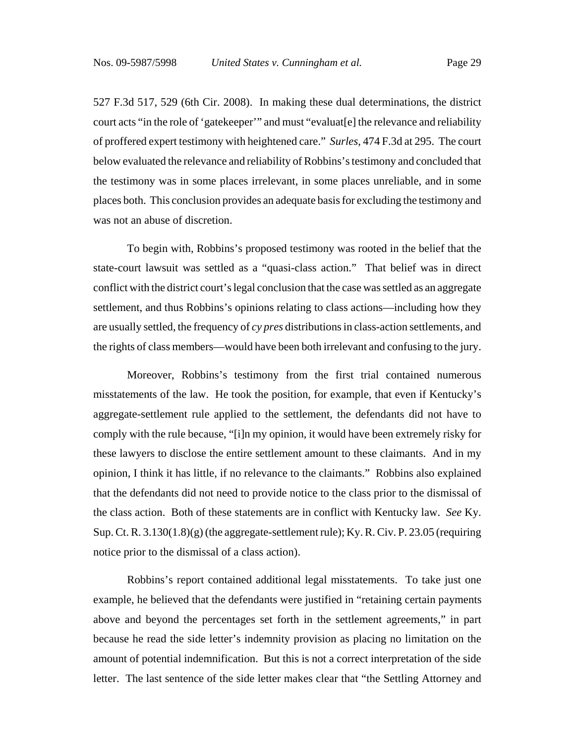527 F.3d 517, 529 (6th Cir. 2008). In making these dual determinations, the district court acts "in the role of 'gatekeeper'" and must "evaluat[e] the relevance and reliability of proffered expert testimony with heightened care." *Surles*, 474 F.3d at 295. The court below evaluated the relevance and reliability of Robbins's testimony and concluded that the testimony was in some places irrelevant, in some places unreliable, and in some places both. This conclusion provides an adequate basis for excluding the testimony and was not an abuse of discretion.

To begin with, Robbins's proposed testimony was rooted in the belief that the state-court lawsuit was settled as a "quasi-class action." That belief was in direct conflict with the district court's legal conclusion that the case was settled as an aggregate settlement, and thus Robbins's opinions relating to class actions—including how they are usually settled, the frequency of *cy pres* distributions in class-action settlements, and the rights of class members—would have been both irrelevant and confusing to the jury.

Moreover, Robbins's testimony from the first trial contained numerous misstatements of the law. He took the position, for example, that even if Kentucky's aggregate-settlement rule applied to the settlement, the defendants did not have to comply with the rule because, "[i]n my opinion, it would have been extremely risky for these lawyers to disclose the entire settlement amount to these claimants. And in my opinion, I think it has little, if no relevance to the claimants." Robbins also explained that the defendants did not need to provide notice to the class prior to the dismissal of the class action. Both of these statements are in conflict with Kentucky law. *See* Ky. Sup. Ct. R.  $3.130(1.8)(g)$  (the aggregate-settlement rule); Ky. R. Civ. P. 23.05 (requiring notice prior to the dismissal of a class action).

Robbins's report contained additional legal misstatements. To take just one example, he believed that the defendants were justified in "retaining certain payments above and beyond the percentages set forth in the settlement agreements," in part because he read the side letter's indemnity provision as placing no limitation on the amount of potential indemnification. But this is not a correct interpretation of the side letter. The last sentence of the side letter makes clear that "the Settling Attorney and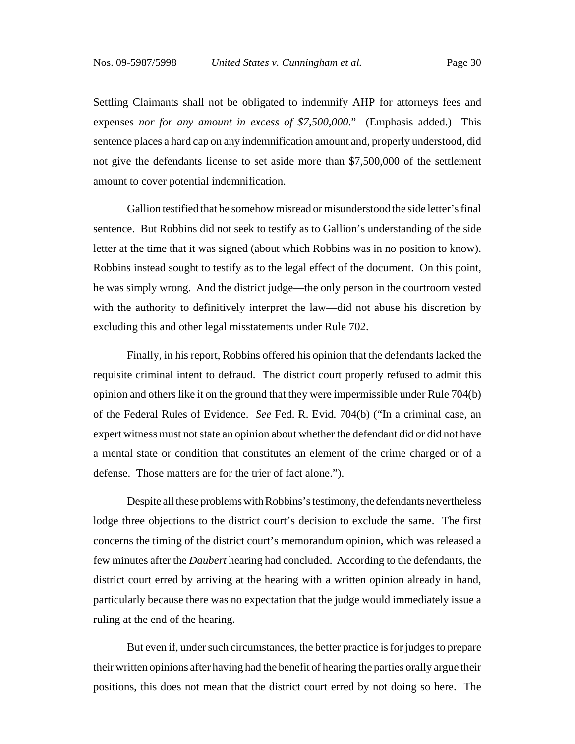Settling Claimants shall not be obligated to indemnify AHP for attorneys fees and expenses *nor for any amount in excess of \$7,500,000*." (Emphasis added.) This sentence places a hard cap on any indemnification amount and, properly understood, did not give the defendants license to set aside more than \$7,500,000 of the settlement amount to cover potential indemnification.

Gallion testified that he somehow misread or misunderstood the side letter's final sentence. But Robbins did not seek to testify as to Gallion's understanding of the side letter at the time that it was signed (about which Robbins was in no position to know). Robbins instead sought to testify as to the legal effect of the document. On this point, he was simply wrong. And the district judge—the only person in the courtroom vested with the authority to definitively interpret the law—did not abuse his discretion by excluding this and other legal misstatements under Rule 702.

Finally, in his report, Robbins offered his opinion that the defendants lacked the requisite criminal intent to defraud. The district court properly refused to admit this opinion and others like it on the ground that they were impermissible under Rule 704(b) of the Federal Rules of Evidence. *See* Fed. R. Evid. 704(b) ("In a criminal case, an expert witness must not state an opinion about whether the defendant did or did not have a mental state or condition that constitutes an element of the crime charged or of a defense. Those matters are for the trier of fact alone.").

Despite all these problems with Robbins's testimony, the defendants nevertheless lodge three objections to the district court's decision to exclude the same. The first concerns the timing of the district court's memorandum opinion, which was released a few minutes after the *Daubert* hearing had concluded. According to the defendants, the district court erred by arriving at the hearing with a written opinion already in hand, particularly because there was no expectation that the judge would immediately issue a ruling at the end of the hearing.

But even if, under such circumstances, the better practice is for judges to prepare their written opinions after having had the benefit of hearing the parties orally argue their positions, this does not mean that the district court erred by not doing so here. The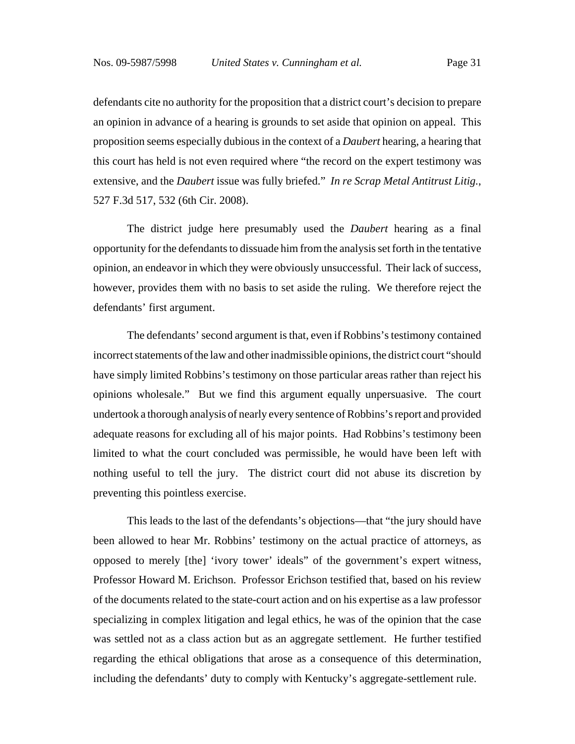defendants cite no authority for the proposition that a district court's decision to prepare an opinion in advance of a hearing is grounds to set aside that opinion on appeal. This proposition seems especially dubious in the context of a *Daubert* hearing, a hearing that this court has held is not even required where "the record on the expert testimony was extensive, and the *Daubert* issue was fully briefed." *In re Scrap Metal Antitrust Litig.*, 527 F.3d 517, 532 (6th Cir. 2008).

The district judge here presumably used the *Daubert* hearing as a final opportunity for the defendants to dissuade him from the analysis set forth in the tentative opinion, an endeavor in which they were obviously unsuccessful. Their lack of success, however, provides them with no basis to set aside the ruling. We therefore reject the defendants' first argument.

The defendants' second argument is that, even if Robbins's testimony contained incorrect statements of the law and other inadmissible opinions, the district court "should have simply limited Robbins's testimony on those particular areas rather than reject his opinions wholesale." But we find this argument equally unpersuasive. The court undertook a thorough analysis of nearly every sentence of Robbins's report and provided adequate reasons for excluding all of his major points. Had Robbins's testimony been limited to what the court concluded was permissible, he would have been left with nothing useful to tell the jury. The district court did not abuse its discretion by preventing this pointless exercise.

This leads to the last of the defendants's objections—that "the jury should have been allowed to hear Mr. Robbins' testimony on the actual practice of attorneys, as opposed to merely [the] 'ivory tower' ideals" of the government's expert witness, Professor Howard M. Erichson. Professor Erichson testified that, based on his review of the documents related to the state-court action and on his expertise as a law professor specializing in complex litigation and legal ethics, he was of the opinion that the case was settled not as a class action but as an aggregate settlement. He further testified regarding the ethical obligations that arose as a consequence of this determination, including the defendants' duty to comply with Kentucky's aggregate-settlement rule.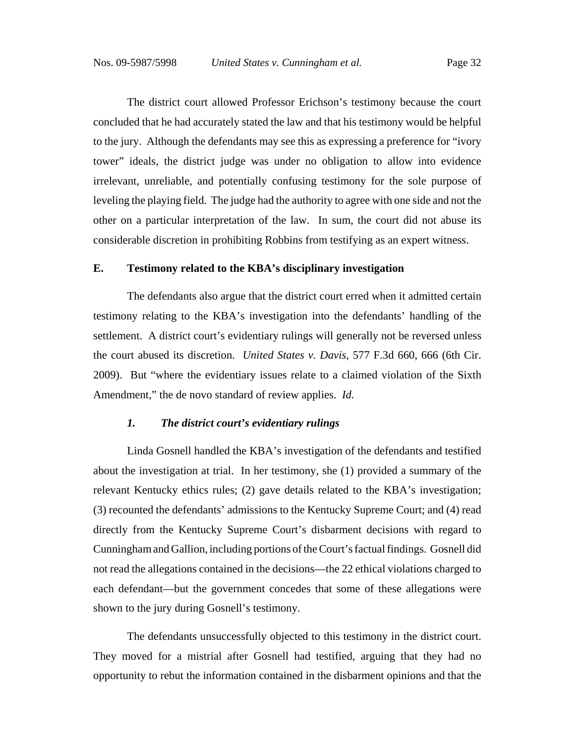The district court allowed Professor Erichson's testimony because the court concluded that he had accurately stated the law and that his testimony would be helpful to the jury. Although the defendants may see this as expressing a preference for "ivory tower" ideals, the district judge was under no obligation to allow into evidence irrelevant, unreliable, and potentially confusing testimony for the sole purpose of leveling the playing field. The judge had the authority to agree with one side and not the other on a particular interpretation of the law. In sum, the court did not abuse its considerable discretion in prohibiting Robbins from testifying as an expert witness.

#### **E. Testimony related to the KBA's disciplinary investigation**

The defendants also argue that the district court erred when it admitted certain testimony relating to the KBA's investigation into the defendants' handling of the settlement. A district court's evidentiary rulings will generally not be reversed unless the court abused its discretion. *United States v. Davis*, 577 F.3d 660, 666 (6th Cir. 2009). But "where the evidentiary issues relate to a claimed violation of the Sixth Amendment," the de novo standard of review applies. *Id.*

### *1. The district court's evidentiary rulings*

Linda Gosnell handled the KBA's investigation of the defendants and testified about the investigation at trial. In her testimony, she (1) provided a summary of the relevant Kentucky ethics rules; (2) gave details related to the KBA's investigation; (3) recounted the defendants' admissions to the Kentucky Supreme Court; and (4) read directly from the Kentucky Supreme Court's disbarment decisions with regard to Cunningham and Gallion, including portions of the Court's factual findings. Gosnell did not read the allegations contained in the decisions—the 22 ethical violations charged to each defendant—but the government concedes that some of these allegations were shown to the jury during Gosnell's testimony.

The defendants unsuccessfully objected to this testimony in the district court. They moved for a mistrial after Gosnell had testified, arguing that they had no opportunity to rebut the information contained in the disbarment opinions and that the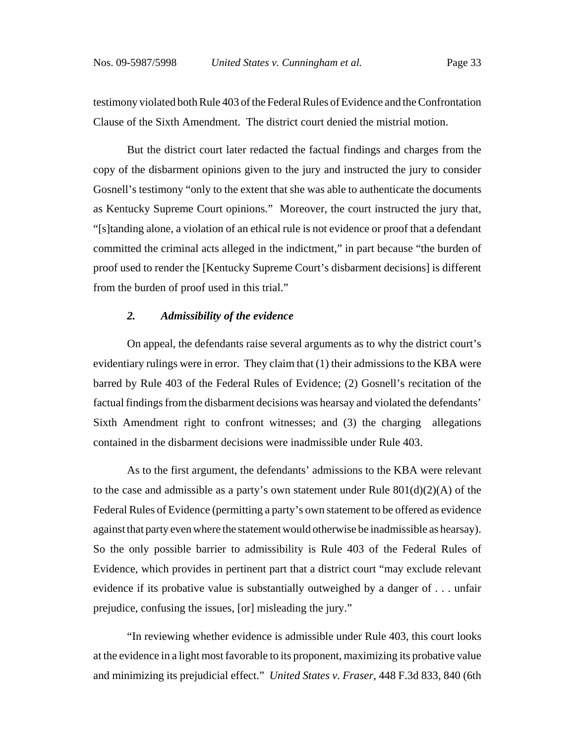testimony violated both Rule 403 of the Federal Rules of Evidence and the Confrontation Clause of the Sixth Amendment. The district court denied the mistrial motion.

But the district court later redacted the factual findings and charges from the copy of the disbarment opinions given to the jury and instructed the jury to consider Gosnell's testimony "only to the extent that she was able to authenticate the documents as Kentucky Supreme Court opinions." Moreover, the court instructed the jury that, "[s]tanding alone, a violation of an ethical rule is not evidence or proof that a defendant committed the criminal acts alleged in the indictment," in part because "the burden of proof used to render the [Kentucky Supreme Court's disbarment decisions] is different from the burden of proof used in this trial."

#### *2. Admissibility of the evidence*

On appeal, the defendants raise several arguments as to why the district court's evidentiary rulings were in error. They claim that (1) their admissions to the KBA were barred by Rule 403 of the Federal Rules of Evidence; (2) Gosnell's recitation of the factual findings from the disbarment decisions was hearsay and violated the defendants' Sixth Amendment right to confront witnesses; and (3) the charging allegations contained in the disbarment decisions were inadmissible under Rule 403.

As to the first argument, the defendants' admissions to the KBA were relevant to the case and admissible as a party's own statement under Rule 801(d)(2)(A) of the Federal Rules of Evidence (permitting a party's own statement to be offered as evidence against that party even where the statement would otherwise be inadmissible as hearsay). So the only possible barrier to admissibility is Rule 403 of the Federal Rules of Evidence, which provides in pertinent part that a district court "may exclude relevant evidence if its probative value is substantially outweighed by a danger of . . . unfair prejudice, confusing the issues, [or] misleading the jury."

"In reviewing whether evidence is admissible under Rule 403, this court looks at the evidence in a light most favorable to its proponent, maximizing its probative value and minimizing its prejudicial effect." *United States v. Fraser*, 448 F.3d 833, 840 (6th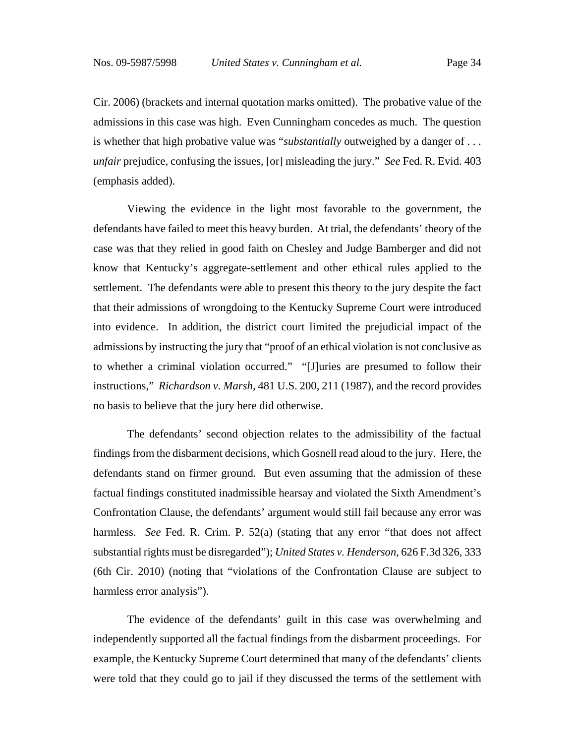Cir. 2006) (brackets and internal quotation marks omitted). The probative value of the admissions in this case was high. Even Cunningham concedes as much. The question is whether that high probative value was "*substantially* outweighed by a danger of . . . *unfair* prejudice, confusing the issues, [or] misleading the jury." *See* Fed. R. Evid. 403 (emphasis added).

Viewing the evidence in the light most favorable to the government, the defendants have failed to meet this heavy burden. At trial, the defendants' theory of the case was that they relied in good faith on Chesley and Judge Bamberger and did not know that Kentucky's aggregate-settlement and other ethical rules applied to the settlement. The defendants were able to present this theory to the jury despite the fact that their admissions of wrongdoing to the Kentucky Supreme Court were introduced into evidence. In addition, the district court limited the prejudicial impact of the admissions by instructing the jury that "proof of an ethical violation is not conclusive as to whether a criminal violation occurred." "[J]uries are presumed to follow their instructions," *Richardson v. Marsh*, 481 U.S. 200, 211 (1987), and the record provides no basis to believe that the jury here did otherwise.

The defendants' second objection relates to the admissibility of the factual findings from the disbarment decisions, which Gosnell read aloud to the jury. Here, the defendants stand on firmer ground. But even assuming that the admission of these factual findings constituted inadmissible hearsay and violated the Sixth Amendment's Confrontation Clause, the defendants' argument would still fail because any error was harmless. *See* Fed. R. Crim. P. 52(a) (stating that any error "that does not affect substantial rights must be disregarded"); *United States v. Henderson*, 626 F.3d 326, 333 (6th Cir. 2010) (noting that "violations of the Confrontation Clause are subject to harmless error analysis").

The evidence of the defendants' guilt in this case was overwhelming and independently supported all the factual findings from the disbarment proceedings. For example, the Kentucky Supreme Court determined that many of the defendants' clients were told that they could go to jail if they discussed the terms of the settlement with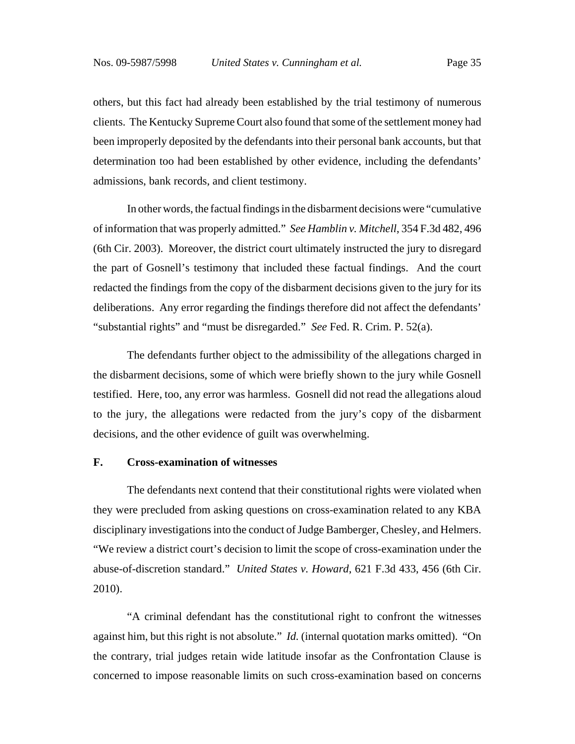others, but this fact had already been established by the trial testimony of numerous clients. The Kentucky Supreme Court also found that some of the settlement money had been improperly deposited by the defendants into their personal bank accounts, but that determination too had been established by other evidence, including the defendants' admissions, bank records, and client testimony.

In other words, the factual findings in the disbarment decisions were "cumulative of information that was properly admitted." *See Hamblin v. Mitchell*, 354 F.3d 482, 496 (6th Cir. 2003). Moreover, the district court ultimately instructed the jury to disregard the part of Gosnell's testimony that included these factual findings. And the court redacted the findings from the copy of the disbarment decisions given to the jury for its deliberations. Any error regarding the findings therefore did not affect the defendants' "substantial rights" and "must be disregarded." *See* Fed. R. Crim. P. 52(a).

The defendants further object to the admissibility of the allegations charged in the disbarment decisions, some of which were briefly shown to the jury while Gosnell testified. Here, too, any error was harmless. Gosnell did not read the allegations aloud to the jury, the allegations were redacted from the jury's copy of the disbarment decisions, and the other evidence of guilt was overwhelming.

### **F. Cross-examination of witnesses**

The defendants next contend that their constitutional rights were violated when they were precluded from asking questions on cross-examination related to any KBA disciplinary investigations into the conduct of Judge Bamberger, Chesley, and Helmers. "We review a district court's decision to limit the scope of cross-examination under the abuse-of-discretion standard." *United States v. Howard*, 621 F.3d 433, 456 (6th Cir. 2010).

"A criminal defendant has the constitutional right to confront the witnesses against him, but this right is not absolute." *Id.* (internal quotation marks omitted). "On the contrary, trial judges retain wide latitude insofar as the Confrontation Clause is concerned to impose reasonable limits on such cross-examination based on concerns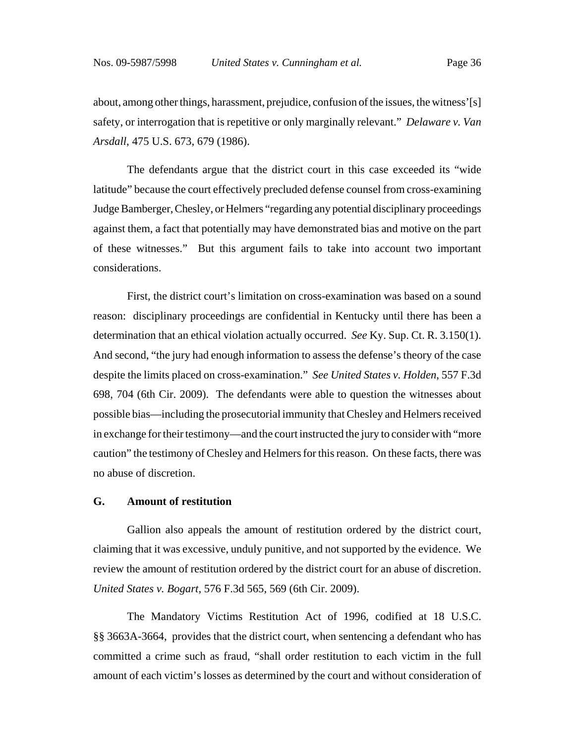about, among other things, harassment, prejudice, confusion of the issues, the witness'[s] safety, or interrogation that is repetitive or only marginally relevant." *Delaware v. Van Arsdall*, 475 U.S. 673, 679 (1986).

The defendants argue that the district court in this case exceeded its "wide latitude" because the court effectively precluded defense counsel from cross-examining Judge Bamberger, Chesley, or Helmers "regarding any potential disciplinary proceedings against them, a fact that potentially may have demonstrated bias and motive on the part of these witnesses." But this argument fails to take into account two important considerations.

First, the district court's limitation on cross-examination was based on a sound reason: disciplinary proceedings are confidential in Kentucky until there has been a determination that an ethical violation actually occurred. *See* Ky. Sup. Ct. R. 3.150(1). And second, "the jury had enough information to assess the defense's theory of the case despite the limits placed on cross-examination." *See United States v. Holden*, 557 F.3d 698, 704 (6th Cir. 2009). The defendants were able to question the witnesses about possible bias—including the prosecutorial immunity that Chesley and Helmers received in exchange for their testimony—and the court instructed the jury to consider with "more caution" the testimony of Chesley and Helmers for this reason. On these facts, there was no abuse of discretion.

# **G. Amount of restitution**

Gallion also appeals the amount of restitution ordered by the district court, claiming that it was excessive, unduly punitive, and not supported by the evidence. We review the amount of restitution ordered by the district court for an abuse of discretion. *United States v. Bogart*, 576 F.3d 565, 569 (6th Cir. 2009).

The Mandatory Victims Restitution Act of 1996, codified at 18 U.S.C. §§ 3663A-3664, provides that the district court, when sentencing a defendant who has committed a crime such as fraud, "shall order restitution to each victim in the full amount of each victim's losses as determined by the court and without consideration of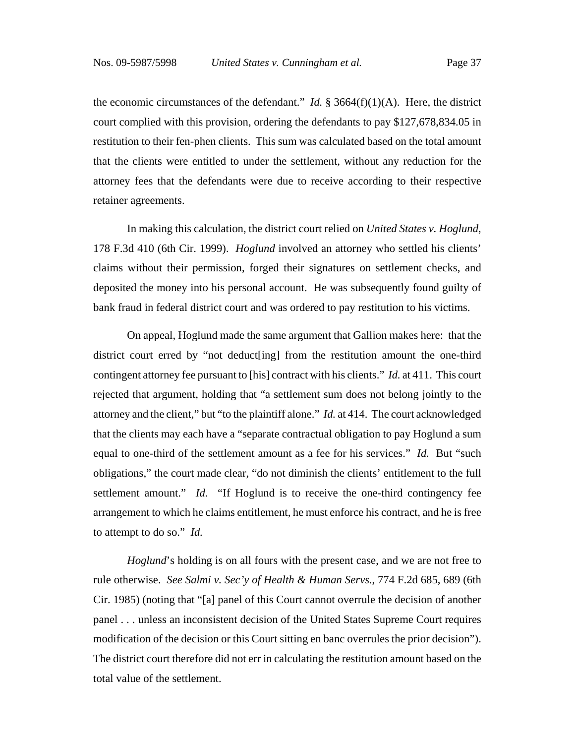the economic circumstances of the defendant." *Id.*  $\S$  3664(f)(1)(A). Here, the district court complied with this provision, ordering the defendants to pay \$127,678,834.05 in restitution to their fen-phen clients. This sum was calculated based on the total amount that the clients were entitled to under the settlement, without any reduction for the attorney fees that the defendants were due to receive according to their respective retainer agreements.

In making this calculation, the district court relied on *United States v. Hoglund*, 178 F.3d 410 (6th Cir. 1999). *Hoglund* involved an attorney who settled his clients' claims without their permission, forged their signatures on settlement checks, and deposited the money into his personal account. He was subsequently found guilty of bank fraud in federal district court and was ordered to pay restitution to his victims.

On appeal, Hoglund made the same argument that Gallion makes here: that the district court erred by "not deduct[ing] from the restitution amount the one-third contingent attorney fee pursuant to [his] contract with his clients." *Id.* at 411. This court rejected that argument, holding that "a settlement sum does not belong jointly to the attorney and the client," but "to the plaintiff alone." *Id.* at 414. The court acknowledged that the clients may each have a "separate contractual obligation to pay Hoglund a sum equal to one-third of the settlement amount as a fee for his services." *Id.* But "such obligations," the court made clear, "do not diminish the clients' entitlement to the full settlement amount." *Id.* "If Hoglund is to receive the one-third contingency fee arrangement to which he claims entitlement, he must enforce his contract, and he is free to attempt to do so." *Id.*

*Hoglund*'s holding is on all fours with the present case, and we are not free to rule otherwise. *See Salmi v. Sec'y of Health & Human Servs.*, 774 F.2d 685, 689 (6th Cir. 1985) (noting that "[a] panel of this Court cannot overrule the decision of another panel . . . unless an inconsistent decision of the United States Supreme Court requires modification of the decision or this Court sitting en banc overrules the prior decision"). The district court therefore did not err in calculating the restitution amount based on the total value of the settlement.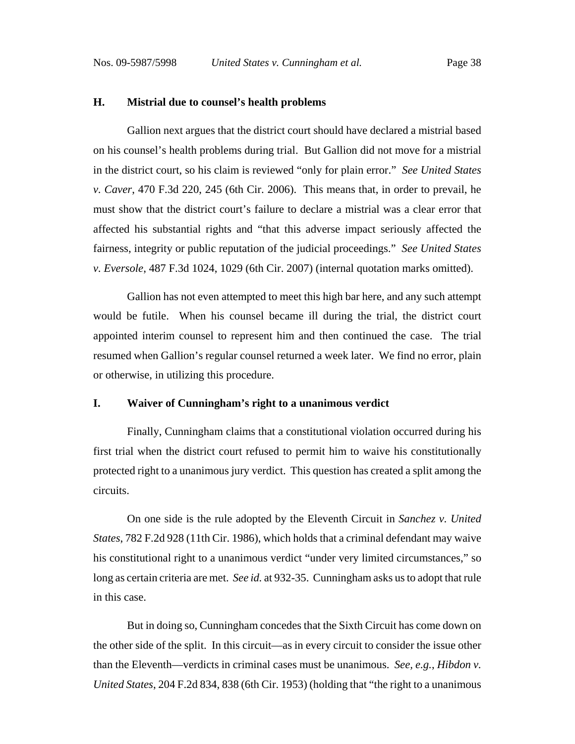### **H. Mistrial due to counsel's health problems**

Gallion next argues that the district court should have declared a mistrial based on his counsel's health problems during trial. But Gallion did not move for a mistrial in the district court, so his claim is reviewed "only for plain error." *See United States v. Caver*, 470 F.3d 220, 245 (6th Cir. 2006). This means that, in order to prevail, he must show that the district court's failure to declare a mistrial was a clear error that affected his substantial rights and "that this adverse impact seriously affected the fairness, integrity or public reputation of the judicial proceedings." *See United States v. Eversole*, 487 F.3d 1024, 1029 (6th Cir. 2007) (internal quotation marks omitted).

Gallion has not even attempted to meet this high bar here, and any such attempt would be futile. When his counsel became ill during the trial, the district court appointed interim counsel to represent him and then continued the case. The trial resumed when Gallion's regular counsel returned a week later. We find no error, plain or otherwise, in utilizing this procedure.

### **I. Waiver of Cunningham's right to a unanimous verdict**

Finally, Cunningham claims that a constitutional violation occurred during his first trial when the district court refused to permit him to waive his constitutionally protected right to a unanimous jury verdict. This question has created a split among the circuits.

On one side is the rule adopted by the Eleventh Circuit in *Sanchez v. United States*, 782 F.2d 928 (11th Cir. 1986), which holds that a criminal defendant may waive his constitutional right to a unanimous verdict "under very limited circumstances," so long as certain criteria are met. *See id.* at 932-35. Cunningham asks us to adopt that rule in this case.

But in doing so, Cunningham concedes that the Sixth Circuit has come down on the other side of the split. In this circuit—as in every circuit to consider the issue other than the Eleventh—verdicts in criminal cases must be unanimous. *See, e.g.*, *Hibdon v. United States*, 204 F.2d 834, 838 (6th Cir. 1953) (holding that "the right to a unanimous